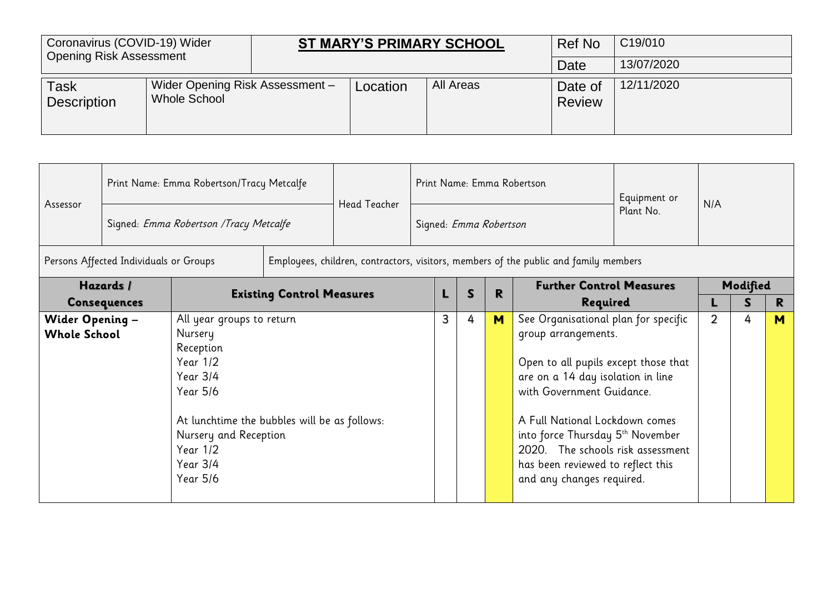| Coronavirus (COVID-19) Wider<br><b>Opening Risk Assessment</b> |                                                 |          | <b>ST MARY'S PRIMARY SCHOOL</b> | Ref No                   | C <sub>19</sub> /010 |
|----------------------------------------------------------------|-------------------------------------------------|----------|---------------------------------|--------------------------|----------------------|
|                                                                |                                                 |          |                                 | Date                     | 13/07/2020           |
| <b>Task</b><br><b>Description</b>                              | Wider Opening Risk Assessment -<br>Whole School | Location | All Areas                       | Date of<br><b>Review</b> | 12/11/2020           |

|                                               |                                                                      | Print Name: Emma Robertson/Tracy Metcalfe                                                                                                                               |  | Print Name: Emma Robertson |                        |   |   |   | Equipment or                                                                                                                                                                                                                                                                                                                                       |           |                |          |    |
|-----------------------------------------------|----------------------------------------------------------------------|-------------------------------------------------------------------------------------------------------------------------------------------------------------------------|--|----------------------------|------------------------|---|---|---|----------------------------------------------------------------------------------------------------------------------------------------------------------------------------------------------------------------------------------------------------------------------------------------------------------------------------------------------------|-----------|----------------|----------|----|
| Assessor                                      |                                                                      | Signed: Emma Robertson / Tracy Metcalfe                                                                                                                                 |  | <b>Head Teacher</b>        | Signed: Emma Robertson |   |   |   |                                                                                                                                                                                                                                                                                                                                                    | Plant No. | N/A            |          |    |
|                                               | Persons Affected Individuals or Groups                               |                                                                                                                                                                         |  |                            |                        |   |   |   | Employees, children, contractors, visitors, members of the public and family members                                                                                                                                                                                                                                                               |           |                |          |    |
|                                               | Hazards /<br><b>Existing Control Measures</b><br><b>Consequences</b> |                                                                                                                                                                         |  |                            |                        |   | S | R | <b>Further Control Measures</b>                                                                                                                                                                                                                                                                                                                    |           |                | Modified |    |
|                                               |                                                                      | All year groups to return                                                                                                                                               |  |                            |                        |   |   |   | Required                                                                                                                                                                                                                                                                                                                                           |           |                | S        | R. |
| <b>Wider Opening -</b><br><b>Whole School</b> |                                                                      | Nursery<br>Reception<br>Year 1/2<br>Year 3/4<br>Year 5/6<br>At lunchtime the bubbles will be as follows:<br>Nursery and Reception<br>Year $1/2$<br>Year 3/4<br>Year 5/6 |  |                            |                        | 3 | 4 | M | See Organisational plan for specific<br>group arrangements.<br>Open to all pupils except those that<br>are on a 14 day isolation in line<br>with Government Guidance.<br>A Full National Lockdown comes<br>into force Thursday 5th November<br>2020. The schools risk assessment<br>has been reviewed to reflect this<br>and any changes required. |           | $\overline{2}$ | 4        | M  |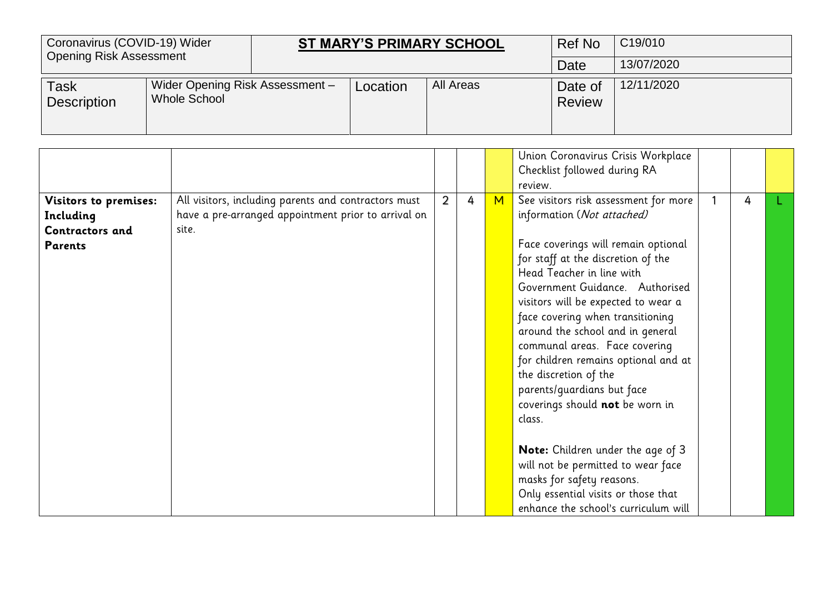| Coronavirus (COVID-19) Wider<br><b>Opening Risk Assessment</b> |                                                 |          | <b>ST MARY'S PRIMARY SCHOOL</b> | Ref No                   | C19/010    |
|----------------------------------------------------------------|-------------------------------------------------|----------|---------------------------------|--------------------------|------------|
|                                                                |                                                 |          |                                 | Date                     | 13/07/2020 |
| Task<br><b>Description</b>                                     | Wider Opening Risk Assessment -<br>Whole School | Location | All Areas                       | Date of<br><b>Review</b> | 12/11/2020 |

|                                                                                |                                                                                                                      |   |   |   | Union Coronavirus Crisis Workplace<br>Checklist followed during RA<br>review.                                                                                                                                                                                                                                                                                                                                                                                                                                |   |  |
|--------------------------------------------------------------------------------|----------------------------------------------------------------------------------------------------------------------|---|---|---|--------------------------------------------------------------------------------------------------------------------------------------------------------------------------------------------------------------------------------------------------------------------------------------------------------------------------------------------------------------------------------------------------------------------------------------------------------------------------------------------------------------|---|--|
| <b>Visitors to premises:</b><br>Including<br>Contractors and<br><b>Parents</b> | All visitors, including parents and contractors must<br>have a pre-arranged appointment prior to arrival on<br>site. | 2 | 4 | M | See visitors risk assessment for more<br>information (Not attached)<br>Face coverings will remain optional<br>for staff at the discretion of the<br>Head Teacher in line with<br>Government Guidance. Authorised<br>visitors will be expected to wear a<br>face covering when transitioning<br>around the school and in general<br>communal areas. Face covering<br>for children remains optional and at<br>the discretion of the<br>parents/guardians but face<br>coverings should not be worn in<br>class. | 4 |  |
|                                                                                |                                                                                                                      |   |   |   | Note: Children under the age of 3<br>will not be permitted to wear face<br>masks for safety reasons.<br>Only essential visits or those that<br>enhance the school's curriculum will                                                                                                                                                                                                                                                                                                                          |   |  |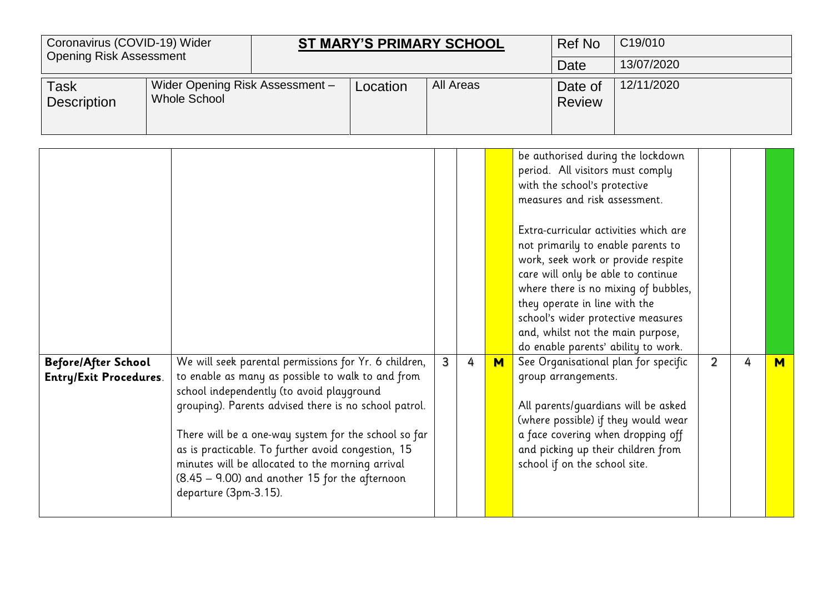| Date<br>Wider Opening Risk Assessment-<br>All Areas<br>12/11/2020<br>Location<br>Date of<br>Task<br><b>Whole School</b><br><b>Description</b><br><b>Review</b><br>be authorised during the lockdown<br>period. All visitors must comply<br>with the school's protective<br>measures and risk assessment.<br>Extra-curricular activities which are                                                                                                                                                                                                                                                                                                                                                                                                                                                                                                                                                                                                                                                                                                                                                                            | Coronavirus (COVID-19) Wider<br><b>Opening Risk Assessment</b> |  | <b>ST MARY'S PRIMARY SCHOOL</b> |  |  | <b>Ref No</b> | C19/010 |            |  |   |
|------------------------------------------------------------------------------------------------------------------------------------------------------------------------------------------------------------------------------------------------------------------------------------------------------------------------------------------------------------------------------------------------------------------------------------------------------------------------------------------------------------------------------------------------------------------------------------------------------------------------------------------------------------------------------------------------------------------------------------------------------------------------------------------------------------------------------------------------------------------------------------------------------------------------------------------------------------------------------------------------------------------------------------------------------------------------------------------------------------------------------|----------------------------------------------------------------|--|---------------------------------|--|--|---------------|---------|------------|--|---|
|                                                                                                                                                                                                                                                                                                                                                                                                                                                                                                                                                                                                                                                                                                                                                                                                                                                                                                                                                                                                                                                                                                                              |                                                                |  |                                 |  |  |               |         | 13/07/2020 |  |   |
|                                                                                                                                                                                                                                                                                                                                                                                                                                                                                                                                                                                                                                                                                                                                                                                                                                                                                                                                                                                                                                                                                                                              |                                                                |  |                                 |  |  |               |         |            |  |   |
| not primarily to enable parents to<br>work, seek work or provide respite<br>care will only be able to continue<br>where there is no mixing of bubbles,<br>they operate in line with the<br>school's wider protective measures<br>and, whilst not the main purpose,<br>do enable parents' ability to work.<br>We will seek parental permissions for Yr. 6 children,<br>$\overline{3}$<br>See Organisational plan for specific<br>$\overline{2}$<br>4<br>M<br>4<br><b>Before/After School</b><br>to enable as many as possible to walk to and from<br>group arrangements.<br><b>Entry/Exit Procedures.</b><br>school independently (to avoid playground<br>grouping). Parents advised there is no school patrol.<br>All parents/quardians will be asked<br>(where possible) if they would wear<br>a face covering when dropping off<br>There will be a one-way system for the school so far<br>as is practicable. To further avoid congestion, 15<br>and picking up their children from<br>minutes will be allocated to the morning arrival<br>school if on the school site.<br>(8.45 - 9.00) and another 15 for the afternoon |                                                                |  |                                 |  |  |               |         |            |  | M |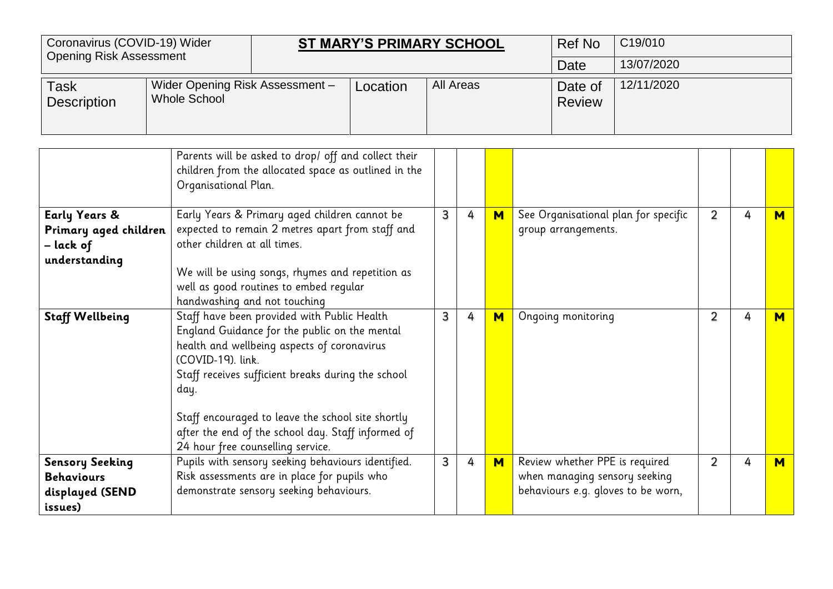| Coronavirus (COVID-19) Wider<br><b>Opening Risk Assessment</b>            |                                                                                                                                                                                                                                                                                                    |                                                                                                                                                                                                                                                                                                                                                                                | <b>ST MARY'S PRIMARY SCHOOL</b> |          |           |     | <b>Ref No</b>                                                   | C19/010                            |                                      |                |   |   |
|---------------------------------------------------------------------------|----------------------------------------------------------------------------------------------------------------------------------------------------------------------------------------------------------------------------------------------------------------------------------------------------|--------------------------------------------------------------------------------------------------------------------------------------------------------------------------------------------------------------------------------------------------------------------------------------------------------------------------------------------------------------------------------|---------------------------------|----------|-----------|-----|-----------------------------------------------------------------|------------------------------------|--------------------------------------|----------------|---|---|
|                                                                           |                                                                                                                                                                                                                                                                                                    |                                                                                                                                                                                                                                                                                                                                                                                |                                 |          |           |     |                                                                 | Date                               | 13/07/2020                           |                |   |   |
| <b>Task</b><br><b>Description</b>                                         |                                                                                                                                                                                                                                                                                                    | <b>Whole School</b>                                                                                                                                                                                                                                                                                                                                                            | Wider Opening Risk Assessment - | Location | All Areas |     |                                                                 | Date of<br><b>Review</b>           | 12/11/2020                           |                |   |   |
|                                                                           | Parents will be asked to drop/ off and collect their<br>children from the allocated space as outlined in the<br>Organisational Plan.<br>Early Years & Primary aged children cannot be<br>expected to remain 2 metres apart from staff and<br>Primary aged children<br>other children at all times. |                                                                                                                                                                                                                                                                                                                                                                                |                                 |          |           |     |                                                                 |                                    |                                      |                |   |   |
| <b>Early Years &amp;</b><br>– lack of<br>understanding                    | We will be using songs, rhymes and repetition as<br>well as good routines to embed regular<br>handwashing and not touching                                                                                                                                                                         |                                                                                                                                                                                                                                                                                                                                                                                |                                 |          | 3         | 4   | $M$                                                             | group arrangements.                | See Organisational plan for specific | $\overline{2}$ | 4 | м |
| <b>Staff Wellbeing</b>                                                    |                                                                                                                                                                                                                                                                                                    | Staff have been provided with Public Health<br>England Guidance for the public on the mental<br>health and wellbeing aspects of coronavirus<br>(COVID-19). link.<br>Staff receives sufficient breaks during the school<br>day.<br>Staff encouraged to leave the school site shortly<br>after the end of the school day. Staff informed of<br>24 hour free counselling service. |                                 | 3        | 4         | $M$ | Ongoing monitoring                                              |                                    | $\overline{2}$                       | 4              | M |   |
| <b>Sensory Seeking</b><br><b>Behaviours</b><br>displayed (SEND<br>issues) |                                                                                                                                                                                                                                                                                                    | Pupils with sensory seeking behaviours identified.<br>Risk assessments are in place for pupils who<br>demonstrate sensory seeking behaviours.                                                                                                                                                                                                                                  |                                 | 3        | 4         | M   | Review whether PPE is required<br>when managing sensory seeking | behaviours e.g. gloves to be worn, | $\overline{2}$                       | 4              | M |   |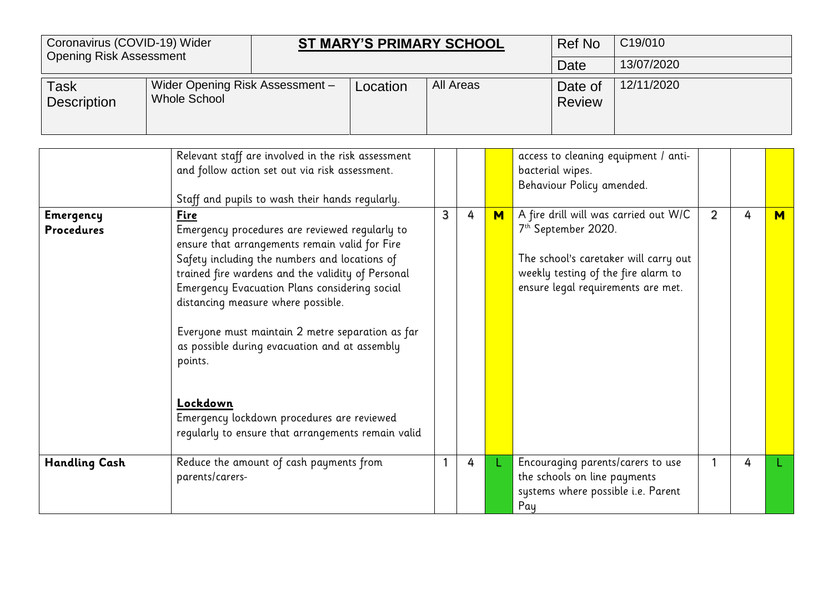| Coronavirus (COVID-19) Wider<br><b>Opening Risk Assessment</b> |                                                        |          | <b>ST MARY'S PRIMARY SCHOOL</b> | Ref No                   | C <sub>19</sub> /010 |
|----------------------------------------------------------------|--------------------------------------------------------|----------|---------------------------------|--------------------------|----------------------|
|                                                                |                                                        |          |                                 | Date                     | 13/07/2020           |
| Task<br><b>Description</b>                                     | Wider Opening Risk Assessment -<br><b>Whole School</b> | Location | All Areas                       | Date of<br><b>Review</b> | 12/11/2020           |

|                                       | Relevant staff are involved in the risk assessment<br>and follow action set out via risk assessment.<br>Staff and pupils to wash their hands regularly.                                                                                                                                                                                                                                                                                                                                                                               |   |   |   | access to cleaning equipment / anti-<br>bacterial wipes.<br>Behaviour Policy amended.                                                                                                          |   |   |   |
|---------------------------------------|---------------------------------------------------------------------------------------------------------------------------------------------------------------------------------------------------------------------------------------------------------------------------------------------------------------------------------------------------------------------------------------------------------------------------------------------------------------------------------------------------------------------------------------|---|---|---|------------------------------------------------------------------------------------------------------------------------------------------------------------------------------------------------|---|---|---|
| <b>Emergency</b><br><b>Procedures</b> | Fire<br>Emergency procedures are reviewed regularly to<br>ensure that arrangements remain valid for Fire<br>Safety including the numbers and locations of<br>trained fire wardens and the validity of Personal<br>Emergency Evacuation Plans considering social<br>distancing measure where possible.<br>Everyone must maintain 2 metre separation as far<br>as possible during evacuation and at assembly<br>points.<br>Lockdown<br>Emergency lockdown procedures are reviewed<br>regularly to ensure that arrangements remain valid | 3 | 4 | M | A fire drill will was carried out W/C<br>7 <sup>th</sup> September 2020.<br>The school's caretaker will carry out<br>weekly testing of the fire alarm to<br>ensure legal requirements are met. | 2 | 4 | M |
| <b>Handling Cash</b>                  | Reduce the amount of cash payments from<br>parents/carers-                                                                                                                                                                                                                                                                                                                                                                                                                                                                            |   | 4 |   | Encouraging parents/carers to use<br>the schools on line payments<br>systems where possible i.e. Parent<br>Pay                                                                                 |   | 4 |   |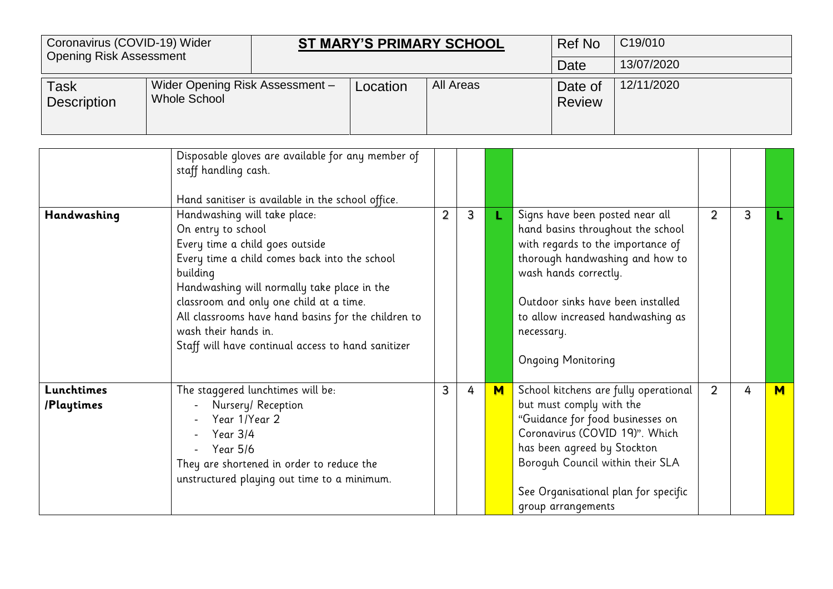|                                   | Coronavirus (COVID-19) Wider<br>ST MARY'S PRIMARY SCHOOL<br><b>Opening Risk Assessment</b> |                                                                                                                                                                                                                                                                                                                                                                                                                            |          |           |              |   |            | <b>Ref No</b>                                                                         | C19/010                                                                                                                                                                                 |                |   |   |
|-----------------------------------|--------------------------------------------------------------------------------------------|----------------------------------------------------------------------------------------------------------------------------------------------------------------------------------------------------------------------------------------------------------------------------------------------------------------------------------------------------------------------------------------------------------------------------|----------|-----------|--------------|---|------------|---------------------------------------------------------------------------------------|-----------------------------------------------------------------------------------------------------------------------------------------------------------------------------------------|----------------|---|---|
|                                   |                                                                                            |                                                                                                                                                                                                                                                                                                                                                                                                                            |          |           |              |   |            | Date                                                                                  | 13/07/2020                                                                                                                                                                              |                |   |   |
| <b>Task</b><br><b>Description</b> | Wider Opening Risk Assessment -<br><b>Whole School</b>                                     |                                                                                                                                                                                                                                                                                                                                                                                                                            | Location | All Areas |              |   |            | Date of<br><b>Review</b>                                                              | 12/11/2020                                                                                                                                                                              |                |   |   |
|                                   | staff handling cash.                                                                       | Disposable gloves are available for any member of                                                                                                                                                                                                                                                                                                                                                                          |          |           |              |   |            |                                                                                       |                                                                                                                                                                                         |                |   |   |
| Handwashing                       | building                                                                                   | Hand sanitiser is available in the school office.<br>Handwashing will take place:<br>On entry to school<br>Every time a child goes outside<br>Every time a child comes back into the school<br>Handwashing will normally take place in the<br>classroom and only one child at a time.<br>All classrooms have hand basins for the children to<br>wash their hands in.<br>Staff will have continual access to hand sanitizer |          |           | $\mathbf{3}$ | L | necessary. | Signs have been posted near all<br>wash hands correctly.<br><b>Ongoing Monitoring</b> | hand basins throughout the school<br>with regards to the importance of<br>thorough handwashing and how to<br>Outdoor sinks have been installed<br>to allow increased handwashing as     | 2              | 3 |   |
| Lunchtimes<br>/Playtimes          | Year 1/Year 2<br>Year 3/4<br>Year 5/6                                                      | The staggered lunchtimes will be:<br>Nursery/ Reception<br>They are shortened in order to reduce the<br>unstructured playing out time to a minimum.                                                                                                                                                                                                                                                                        |          | 3         | 4            | M |            | but must comply with the<br>has been agreed by Stockton<br>group arrangements         | School kitchens are fully operational<br>"Guidance for food businesses on<br>Coronavirus (COVID 19)". Which<br>Boroguh Council within their SLA<br>See Organisational plan for specific | $\overline{2}$ | 4 | M |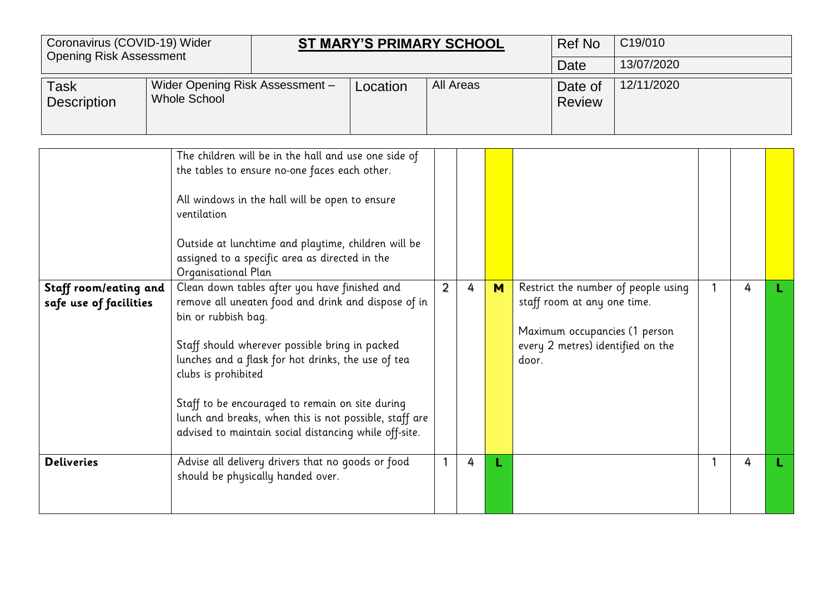| Coronavirus (COVID-19) Wider<br><b>Opening Risk Assessment</b> |                                                                                  |                                                                                                                                                                                                                                                                                                                                                                                                                                                                                                                                                                                                                                                        | <b>ST MARY'S PRIMARY SCHOOL</b> |                |           |   |       | <b>Ref No</b>                                                                                     | C19/010                             |   |  |
|----------------------------------------------------------------|----------------------------------------------------------------------------------|--------------------------------------------------------------------------------------------------------------------------------------------------------------------------------------------------------------------------------------------------------------------------------------------------------------------------------------------------------------------------------------------------------------------------------------------------------------------------------------------------------------------------------------------------------------------------------------------------------------------------------------------------------|---------------------------------|----------------|-----------|---|-------|---------------------------------------------------------------------------------------------------|-------------------------------------|---|--|
|                                                                |                                                                                  |                                                                                                                                                                                                                                                                                                                                                                                                                                                                                                                                                                                                                                                        |                                 |                |           |   |       | Date                                                                                              | 13/07/2020                          |   |  |
| <b>Task</b><br><b>Description</b>                              | Wider Opening Risk Assessment -<br><b>Whole School</b>                           |                                                                                                                                                                                                                                                                                                                                                                                                                                                                                                                                                                                                                                                        | Location                        |                | All Areas |   |       | Date of<br><b>Review</b>                                                                          | 12/11/2020                          |   |  |
| Staff room/eating and<br>safe use of facilities                | ventilation<br>Organisational Plan<br>bin or rubbish bag.<br>clubs is prohibited | The children will be in the hall and use one side of<br>the tables to ensure no-one faces each other.<br>All windows in the hall will be open to ensure<br>Outside at lunchtime and playtime, children will be<br>assigned to a specific area as directed in the<br>Clean down tables after you have finished and<br>remove all uneaten food and drink and dispose of in<br>Staff should wherever possible bring in packed<br>lunches and a flask for hot drinks, the use of tea<br>Staff to be encouraged to remain on site during<br>lunch and breaks, when this is not possible, staff are<br>advised to maintain social distancing while off-site. |                                 | $\overline{2}$ | 4         | M | door. | staff room at any one time.<br>Maximum occupancies (1 person<br>every 2 metres) identified on the | Restrict the number of people using | 4 |  |
| <b>Deliveries</b>                                              |                                                                                  | Advise all delivery drivers that no goods or food<br>should be physically handed over.                                                                                                                                                                                                                                                                                                                                                                                                                                                                                                                                                                 |                                 | $\mathbf{1}$   | 4         | L |       |                                                                                                   |                                     | 4 |  |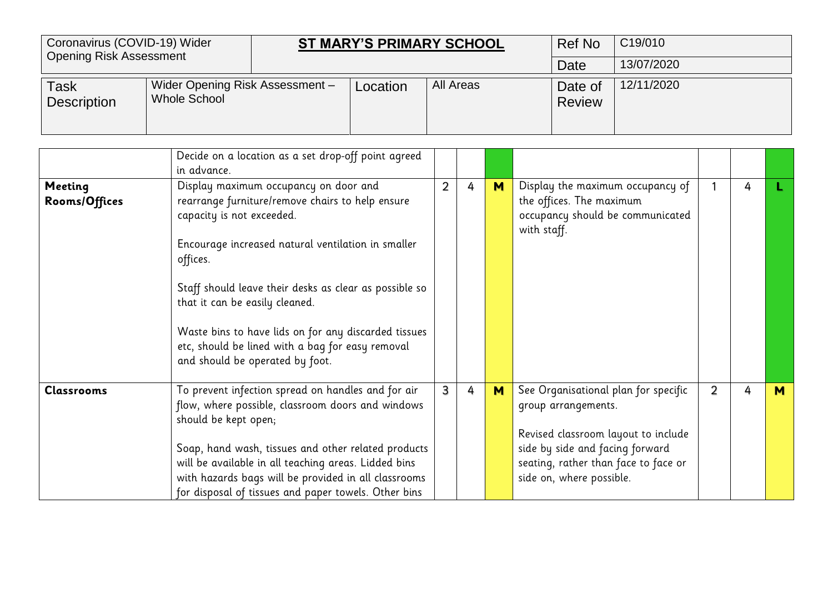| Coronavirus (COVID-19) Wider<br><b>Opening Risk Assessment</b> |                                                 |          | <b>ST MARY'S PRIMARY SCHOOL</b> | <b>Ref No</b>            | C <sub>19</sub> /010 |
|----------------------------------------------------------------|-------------------------------------------------|----------|---------------------------------|--------------------------|----------------------|
|                                                                |                                                 |          |                                 | Date                     | 13/07/2020           |
| <b>Task</b><br><b>Description</b>                              | Wider Opening Risk Assessment -<br>Whole School | Location | All Areas                       | Date of<br><b>Review</b> | 12/11/2020           |

|                          | Decide on a location as a set drop-off point agreed<br>in advance.                                                                                                                                                                                                                                                                                                                                                                  |                |   |          |                                                                                                                                                                                                           |   |   |   |
|--------------------------|-------------------------------------------------------------------------------------------------------------------------------------------------------------------------------------------------------------------------------------------------------------------------------------------------------------------------------------------------------------------------------------------------------------------------------------|----------------|---|----------|-----------------------------------------------------------------------------------------------------------------------------------------------------------------------------------------------------------|---|---|---|
| Meeting<br>Rooms/Offices | Display maximum occupancy on door and<br>rearrange furniture/remove chairs to help ensure<br>capacity is not exceeded.<br>Encourage increased natural ventilation in smaller<br>offices.<br>Staff should leave their desks as clear as possible so<br>that it can be easily cleaned.<br>Waste bins to have lids on for any discarded tissues<br>etc, should be lined with a bag for easy removal<br>and should be operated by foot. | $\overline{2}$ | 4 | <b>M</b> | Display the maximum occupancy of<br>the offices. The maximum<br>occupancy should be communicated<br>with staff.                                                                                           |   | 4 |   |
| <b>Classrooms</b>        | To prevent infection spread on handles and for air<br>flow, where possible, classroom doors and windows<br>should be kept open;<br>Soap, hand wash, tissues and other related products<br>will be available in all teaching areas. Lidded bins<br>with hazards bags will be provided in all classrooms<br>for disposal of tissues and paper towels. Other bins                                                                      | 3              | 4 | M        | See Organisational plan for specific<br>group arrangements.<br>Revised classroom layout to include<br>side by side and facing forward<br>seating, rather than face to face or<br>side on, where possible. | 2 | 4 | M |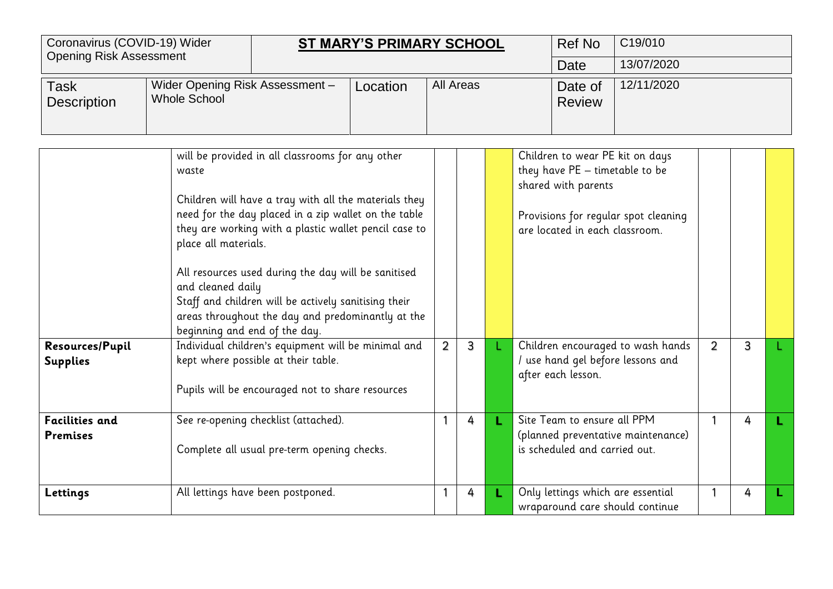| Coronavirus (COVID-19) Wider<br><b>Opening Risk Assessment</b> |                                                                                     |                                                                                                                                                                                                                                                                                                                                                                                                                                                                                                                                                  | <b>ST MARY'S PRIMARY SCHOOL</b> |                |                          |            | <b>Ref No</b>                                                                                                                                    | C19/010                                                                                                      |                |   |  |
|----------------------------------------------------------------|-------------------------------------------------------------------------------------|--------------------------------------------------------------------------------------------------------------------------------------------------------------------------------------------------------------------------------------------------------------------------------------------------------------------------------------------------------------------------------------------------------------------------------------------------------------------------------------------------------------------------------------------------|---------------------------------|----------------|--------------------------|------------|--------------------------------------------------------------------------------------------------------------------------------------------------|--------------------------------------------------------------------------------------------------------------|----------------|---|--|
|                                                                |                                                                                     |                                                                                                                                                                                                                                                                                                                                                                                                                                                                                                                                                  |                                 |                |                          |            | Date                                                                                                                                             | 13/07/2020                                                                                                   |                |   |  |
| Task<br><b>Description</b>                                     | <b>Whole School</b>                                                                 | Wider Opening Risk Assessment -<br><b>All Areas</b><br>Location                                                                                                                                                                                                                                                                                                                                                                                                                                                                                  |                                 |                | Date of<br><b>Review</b> | 12/11/2020 |                                                                                                                                                  |                                                                                                              |                |   |  |
| Resources/Pupil<br><b>Supplies</b>                             | waste<br>place all materials.<br>and cleaned daily<br>beginning and end of the day. | will be provided in all classrooms for any other<br>Children will have a tray with all the materials they<br>need for the day placed in a zip wallet on the table<br>they are working with a plastic wallet pencil case to<br>All resources used during the day will be sanitised<br>Staff and children will be actively sanitising their<br>areas throughout the day and predominantly at the<br>Individual children's equipment will be minimal and<br>kept where possible at their table.<br>Pupils will be encouraged not to share resources |                                 | $\overline{2}$ | 3                        |            | Children to wear PE kit on days<br>they have PE - timetable to be<br>shared with parents<br>are located in each classroom.<br>after each lesson. | Provisions for regular spot cleaning<br>Children encouraged to wash hands<br>use hand gel before lessons and | $\overline{2}$ | 3 |  |
| <b>Facilities and</b>                                          |                                                                                     | See re-opening checklist (attached).                                                                                                                                                                                                                                                                                                                                                                                                                                                                                                             |                                 |                | 4                        |            | Site Team to ensure all PPM                                                                                                                      |                                                                                                              |                | 4 |  |

(planned preventative maintenance)

wraparound care should continue

1 4 **L**

is scheduled and carried out.

Complete all usual pre-term opening checks.

**Lettings** All lettings have been postponed. 1 4 **L** Only lettings which are essential

**Premises**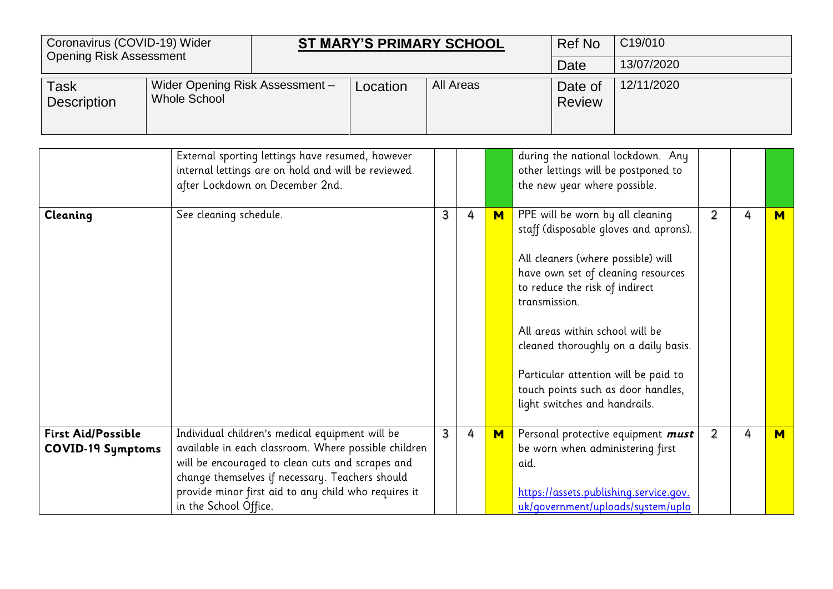| Coronavirus (COVID-19) Wider<br><b>Opening Risk Assessment</b> |                                                        |                                                                                                                                                                                                                                                                        | <b>ST MARY'S PRIMARY SCHOOL</b> |   |            |   |               | <b>Ref No</b>                                                                                                                                                                | C19/010                                                                                                                                                                                           |                |   |     |
|----------------------------------------------------------------|--------------------------------------------------------|------------------------------------------------------------------------------------------------------------------------------------------------------------------------------------------------------------------------------------------------------------------------|---------------------------------|---|------------|---|---------------|------------------------------------------------------------------------------------------------------------------------------------------------------------------------------|---------------------------------------------------------------------------------------------------------------------------------------------------------------------------------------------------|----------------|---|-----|
|                                                                |                                                        |                                                                                                                                                                                                                                                                        |                                 |   |            |   |               | <b>Date</b>                                                                                                                                                                  | 13/07/2020                                                                                                                                                                                        |                |   |     |
| <b>Task</b><br><b>Description</b>                              | Wider Opening Risk Assessment -<br><b>Whole School</b> | All Areas<br>Location<br>Date of<br><b>Review</b>                                                                                                                                                                                                                      |                                 |   | 12/11/2020 |   |               |                                                                                                                                                                              |                                                                                                                                                                                                   |                |   |     |
|                                                                |                                                        | External sporting lettings have resumed, however<br>internal lettings are on hold and will be reviewed<br>after Lockdown on December 2nd.                                                                                                                              |                                 |   |            |   |               | the new year where possible.                                                                                                                                                 | during the national lockdown. Any<br>other lettings will be postponed to                                                                                                                          |                |   |     |
| Cleaning                                                       | See cleaning schedule.                                 |                                                                                                                                                                                                                                                                        |                                 | 3 | 4          | M | transmission. | PPE will be worn by all cleaning<br>All cleaners (where possible) will<br>to reduce the risk of indirect<br>All areas within school will be<br>light switches and handrails. | staff (disposable gloves and aprons).<br>have own set of cleaning resources<br>cleaned thoroughly on a daily basis.<br>Particular attention will be paid to<br>touch points such as door handles, | $\overline{2}$ | 4 | $M$ |
| <b>First Aid/Possible</b><br><b>COVID-19 Symptoms</b>          | in the School Office.                                  | Individual children's medical equipment will be<br>available in each classroom. Where possible children<br>will be encouraged to clean cuts and scrapes and<br>change themselves if necessary. Teachers should<br>provide minor first aid to any child who requires it |                                 | 3 | 4          | M | aid.          |                                                                                                                                                                              | Personal protective equipment must<br>be worn when administering first<br>https://assets.publishing.service.gov.<br>uk/government/uploads/system/uplo                                             | $\overline{2}$ | 4 | M   |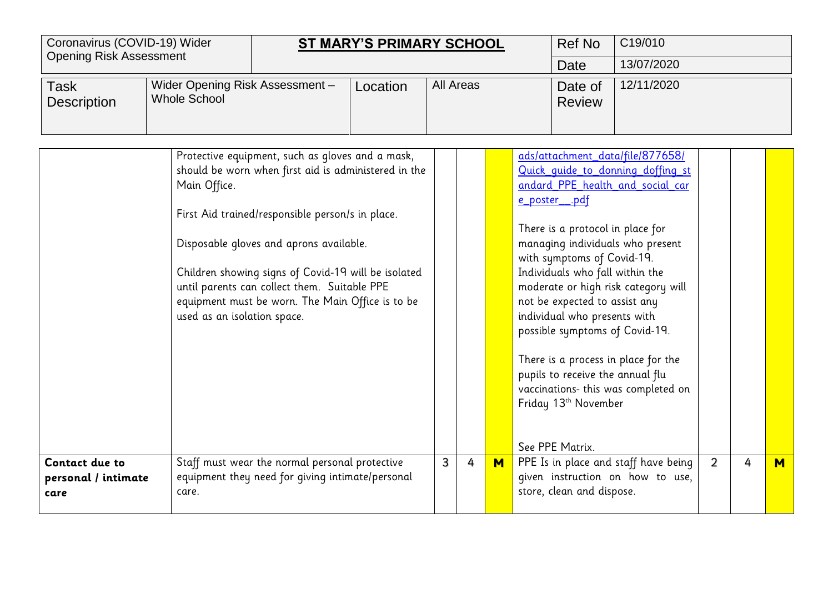| Coronavirus (COVID-19) Wider<br><b>Opening Risk Assessment</b> |                                                        | <b>ST MARY'S PRIMARY SCHOOL</b>                                                                                                                                                                                                                                                                                                                                    |  |   |                          |            | Ref No<br>Date                                                                                                                                                                                                                                                                                       | C19/010<br>13/07/2020                                                                                                                                                                                                                                              |                |   |   |
|----------------------------------------------------------------|--------------------------------------------------------|--------------------------------------------------------------------------------------------------------------------------------------------------------------------------------------------------------------------------------------------------------------------------------------------------------------------------------------------------------------------|--|---|--------------------------|------------|------------------------------------------------------------------------------------------------------------------------------------------------------------------------------------------------------------------------------------------------------------------------------------------------------|--------------------------------------------------------------------------------------------------------------------------------------------------------------------------------------------------------------------------------------------------------------------|----------------|---|---|
| <b>Task</b><br><b>Description</b>                              | Wider Opening Risk Assessment -<br><b>Whole School</b> | All Areas<br>Location                                                                                                                                                                                                                                                                                                                                              |  |   | Date of<br><b>Review</b> | 12/11/2020 |                                                                                                                                                                                                                                                                                                      |                                                                                                                                                                                                                                                                    |                |   |   |
| Contact due to                                                 | Main Office.<br>used as an isolation space.            | Protective equipment, such as gloves and a mask,<br>should be worn when first aid is administered in the<br>First Aid trained/responsible person/s in place.<br>Disposable gloves and aprons available.<br>Children showing signs of Covid-19 will be isolated<br>until parents can collect them. Suitable PPE<br>equipment must be worn. The Main Office is to be |  | 3 | 4                        |            | e poster .pdf<br>There is a protocol in place for<br>with symptoms of Covid-19.<br>Individuals who fall within the<br>not be expected to assist any<br>individual who presents with<br>possible symptoms of Covid-19.<br>pupils to receive the annual flu<br>Friday 13th November<br>See PPE Matrix. | ads/attachment data/file/877658/<br>Quick quide to donning doffing st<br>andard_PPE_health_and_social_car<br>managing individuals who present<br>moderate or high risk category will<br>There is a process in place for the<br>vaccinations- this was completed on | $\overline{2}$ | 4 |   |
| personal / intimate<br>care                                    | care.                                                  | Staff must wear the normal personal protective<br>equipment they need for giving intimate/personal                                                                                                                                                                                                                                                                 |  |   |                          | M          | store, clean and dispose.                                                                                                                                                                                                                                                                            | PPE Is in place and staff have being<br>given instruction on how to use,                                                                                                                                                                                           |                |   | M |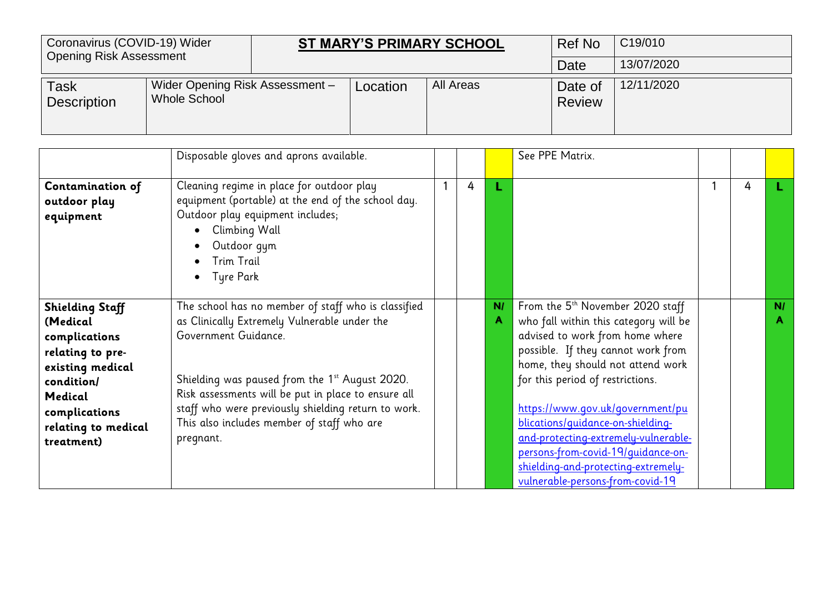| Coronavirus (COVID-19) Wider<br><b>Opening Risk Assessment</b> |                                                 |          | <b>ST MARY'S PRIMARY SCHOOL</b> | Ref No                   | C <sub>19</sub> /010 |
|----------------------------------------------------------------|-------------------------------------------------|----------|---------------------------------|--------------------------|----------------------|
|                                                                |                                                 |          |                                 | Date                     | 13/07/2020           |
| <b>Task</b><br><b>Description</b>                              | Wider Opening Risk Assessment -<br>Whole School | Location | All Areas                       | Date of<br><b>Review</b> | 12/11/2020           |

|                                                                                                                                                                            | Disposable gloves and aprons available.                                                                                                                                                                                                                                                                                                                |   |   |         | See PPE Matrix.                                                                                                                                                                                                                                                                                                                                                                                                                                                           |   |    |
|----------------------------------------------------------------------------------------------------------------------------------------------------------------------------|--------------------------------------------------------------------------------------------------------------------------------------------------------------------------------------------------------------------------------------------------------------------------------------------------------------------------------------------------------|---|---|---------|---------------------------------------------------------------------------------------------------------------------------------------------------------------------------------------------------------------------------------------------------------------------------------------------------------------------------------------------------------------------------------------------------------------------------------------------------------------------------|---|----|
| Contamination of<br>outdoor play<br>equipment                                                                                                                              | Cleaning regime in place for outdoor play<br>equipment (portable) at the end of the school day.<br>Outdoor play equipment includes;<br>Climbing Wall<br>Outdoor gym<br>Trim Trail<br>Tyre Park<br>$\bullet$                                                                                                                                            | 1 | 4 |         |                                                                                                                                                                                                                                                                                                                                                                                                                                                                           | 4 |    |
| <b>Shielding Staff</b><br>(Medical<br>complications<br>relating to pre-<br>existing medical<br>condition/<br>Medical<br>complications<br>relating to medical<br>treatment) | The school has no member of staff who is classified<br>as Clinically Extremely Vulnerable under the<br>Government Guidance.<br>Shielding was paused from the 1st August 2020.<br>Risk assessments will be put in place to ensure all<br>staff who were previously shielding return to work.<br>This also includes member of staff who are<br>pregnant. |   |   | N/<br>A | From the 5 <sup>th</sup> November 2020 staff<br>who fall within this category will be<br>advised to work from home where<br>possible. If they cannot work from<br>home, they should not attend work<br>for this period of restrictions.<br>https://www.gov.uk/government/pu<br>blications/guidance-on-shielding-<br>and-protecting-extremely-vulnerable-<br>persons-from-covid-19/quidance-on-<br>shielding-and-protecting-extremely-<br>vulnerable-persons-from-covid-19 |   | N/ |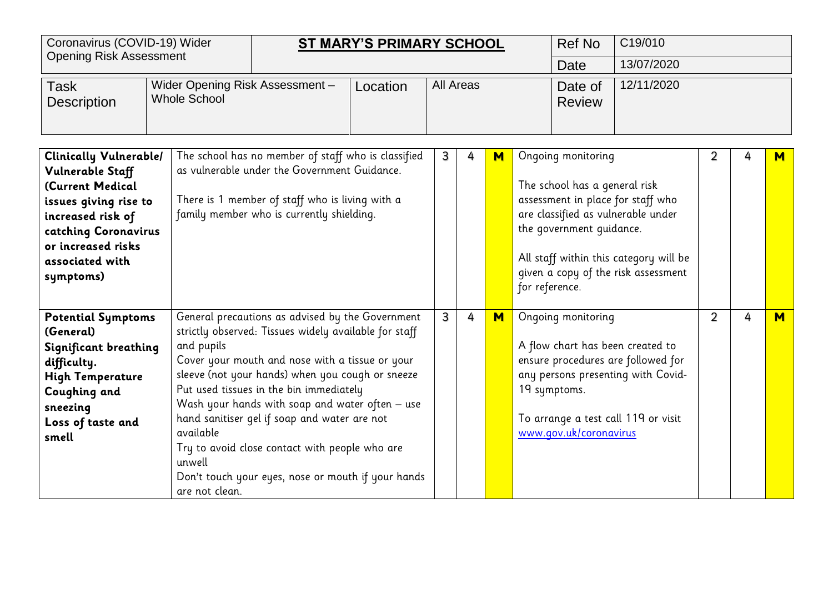| Coronavirus (COVID-19) Wider                                                                                                                                                                      |                                                        | C19/010<br><b>Ref No</b><br><b>ST MARY'S PRIMARY SCHOOL</b>                                                                                                                                                                                                                                                                                                                                                                                                            |          |   |                                                     |   |                |                                                                                 |                                                                                                                                                          |   |   |   |
|---------------------------------------------------------------------------------------------------------------------------------------------------------------------------------------------------|--------------------------------------------------------|------------------------------------------------------------------------------------------------------------------------------------------------------------------------------------------------------------------------------------------------------------------------------------------------------------------------------------------------------------------------------------------------------------------------------------------------------------------------|----------|---|-----------------------------------------------------|---|----------------|---------------------------------------------------------------------------------|----------------------------------------------------------------------------------------------------------------------------------------------------------|---|---|---|
| <b>Opening Risk Assessment</b>                                                                                                                                                                    |                                                        |                                                                                                                                                                                                                                                                                                                                                                                                                                                                        |          |   |                                                     |   |                | Date                                                                            | 13/07/2020                                                                                                                                               |   |   |   |
| <b>Task</b><br><b>Description</b>                                                                                                                                                                 | Wider Opening Risk Assessment -<br><b>Whole School</b> |                                                                                                                                                                                                                                                                                                                                                                                                                                                                        | Location |   | 12/11/2020<br>All Areas<br>Date of<br><b>Review</b> |   |                |                                                                                 |                                                                                                                                                          |   |   |   |
| <b>Clinically Vulnerable/</b><br>Vulnerable Staff<br>(Current Medical<br>issues giving rise to<br>increased risk of<br>catching Coronavirus<br>or increased risks<br>associated with<br>symptoms) |                                                        | The school has no member of staff who is classified<br>as vulnerable under the Government Guidance.<br>There is 1 member of staff who is living with a<br>family member who is currently shielding.                                                                                                                                                                                                                                                                    |          | 3 | 4                                                   | M | for reference. | Ongoing monitoring<br>The school has a general risk<br>the government guidance. | assessment in place for staff who<br>are classified as vulnerable under<br>All staff within this category will be<br>given a copy of the risk assessment | 2 | 4 | м |
| <b>Potential Symptoms</b><br>(General)<br>Significant breathing<br>difficulty.<br><b>High Temperature</b><br>Coughing and<br>sneezing<br>Loss of taste and<br>smell                               | and pupils<br>available<br>unwell<br>are not clean.    | General precautions as advised by the Government<br>strictly observed: Tissues widely available for staff<br>Cover your mouth and nose with a tissue or your<br>sleeve (not your hands) when you cough or sneeze<br>Put used tissues in the bin immediately<br>Wash your hands with soap and water often - use<br>hand sanitiser gel if soap and water are not<br>Try to avoid close contact with people who are<br>Don't touch your eyes, nose or mouth if your hands |          | 3 | 4                                                   | M |                | Ongoing monitoring<br>19 symptoms.<br>www.gov.uk/coronavirus                    | A flow chart has been created to<br>ensure procedures are followed for<br>any persons presenting with Covid-<br>To arrange a test call 119 or visit      | 2 | 4 | M |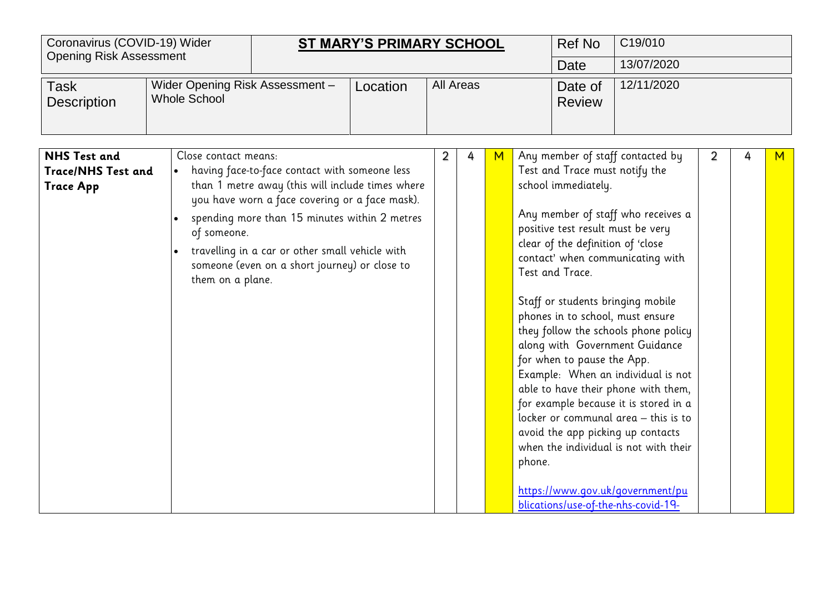|                                                                      | Coronavirus (COVID-19) Wider<br><b>ST MARY'S PRIMARY SCHOOL</b><br><b>Opening Risk Assessment</b> |                                                                                                                                                                                                                                                                                                          |          |           |   |   |        | <b>Ref No</b>                                                                                                                                                                                                        | C19/010                                                                                                                                                                                                                                                                                                                                                                                                                                                                                                                                          |                |   |   |
|----------------------------------------------------------------------|---------------------------------------------------------------------------------------------------|----------------------------------------------------------------------------------------------------------------------------------------------------------------------------------------------------------------------------------------------------------------------------------------------------------|----------|-----------|---|---|--------|----------------------------------------------------------------------------------------------------------------------------------------------------------------------------------------------------------------------|--------------------------------------------------------------------------------------------------------------------------------------------------------------------------------------------------------------------------------------------------------------------------------------------------------------------------------------------------------------------------------------------------------------------------------------------------------------------------------------------------------------------------------------------------|----------------|---|---|
| Task<br><b>Description</b>                                           | Wider Opening Risk Assessment -<br><b>Whole School</b>                                            |                                                                                                                                                                                                                                                                                                          | Location | All Areas |   |   |        | Date<br>Date of<br><b>Review</b>                                                                                                                                                                                     | 13/07/2020<br>12/11/2020                                                                                                                                                                                                                                                                                                                                                                                                                                                                                                                         |                |   |   |
| <b>NHS Test and</b><br><b>Trace/NHS Test and</b><br><b>Trace App</b> | Close contact means:<br>of someone.<br>them on a plane.                                           | having face-to-face contact with someone less<br>than 1 metre away (this will include times where<br>you have worn a face covering or a face mask).<br>spending more than 15 minutes within 2 metres<br>travelling in a car or other small vehicle with<br>someone (even on a short journey) or close to |          | 2         | 4 | M | phone. | Test and Trace must notify the<br>school immediately.<br>positive test result must be very<br>clear of the definition of 'close<br>Test and Trace.<br>phones in to school, must ensure<br>for when to pause the App. | Any member of staff contacted by<br>Any member of staff who receives a<br>contact' when communicating with<br>Staff or students bringing mobile<br>they follow the schools phone policy<br>along with Government Guidance<br>Example: When an individual is not<br>able to have their phone with them,<br>for example because it is stored in a<br>locker or communal area - this is to<br>avoid the app picking up contacts<br>when the individual is not with their<br>https://www.gov.uk/government/pu<br>blications/use-of-the-nhs-covid-19- | $\overline{2}$ | 4 | M |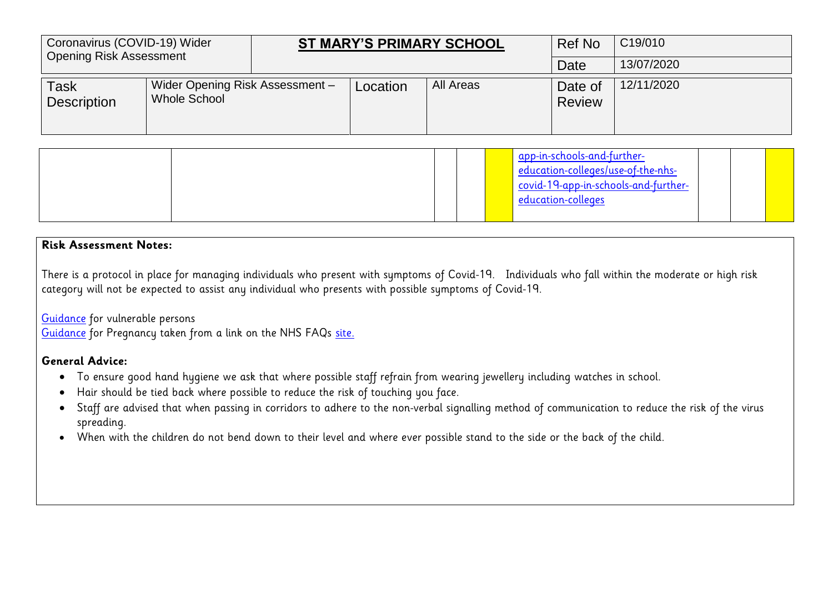| Coronavirus (COVID-19) Wider<br>Opening Risk Assessment |                                                 |          | <b>ST MARY'S PRIMARY SCHOOL</b> | Ref No                   | C <sub>19</sub> /010 |
|---------------------------------------------------------|-------------------------------------------------|----------|---------------------------------|--------------------------|----------------------|
|                                                         |                                                 |          |                                 | Date                     | 13/07/2020           |
| <b>Task</b><br>Description                              | Wider Opening Risk Assessment -<br>Whole School | Location | All Areas                       | Date of<br><b>Review</b> | 12/11/2020           |

|  |  | app-in-schools-and-further-<br>education-colleges/use-of-the-nhs-<br>Covid-19-app-in-schools-and-further-<br>education-colleges |  |  |
|--|--|---------------------------------------------------------------------------------------------------------------------------------|--|--|
|  |  |                                                                                                                                 |  |  |

### **Risk Assessment Notes:**

There is a protocol in place for managing individuals who present with symptoms of Covid-19. Individuals who fall within the moderate or high risk category will not be expected to assist any individual who presents with possible symptoms of Covid-19.

[Guidance](https://www.gov.uk/government/publications/covid-19-guidance-on-social-distancing-and-for-vulnerable-people/guidance-on-social-distancing-for-everyone-in-the-uk-and-protecting-older-people-and-vulnerable-adults) for vulnerable persons

[Guidance](https://www.rcog.org.uk/en/guidelines-research-services/guidelines/coronavirus-pregnancy/covid-19-virus-infection-and-pregnancy/) for Pregnancy taken from a link on the NHS FAQs [site.](https://www.nhs.uk/conditions/coronavirus-covid-19/)

### **General Advice:**

- To ensure good hand hygiene we ask that where possible staff refrain from wearing jewellery including watches in school.
- Hair should be tied back where possible to reduce the risk of touching you face.
- Staff are advised that when passing in corridors to adhere to the non-verbal signalling method of communication to reduce the risk of the virus spreading.
- When with the children do not bend down to their level and where ever possible stand to the side or the back of the child.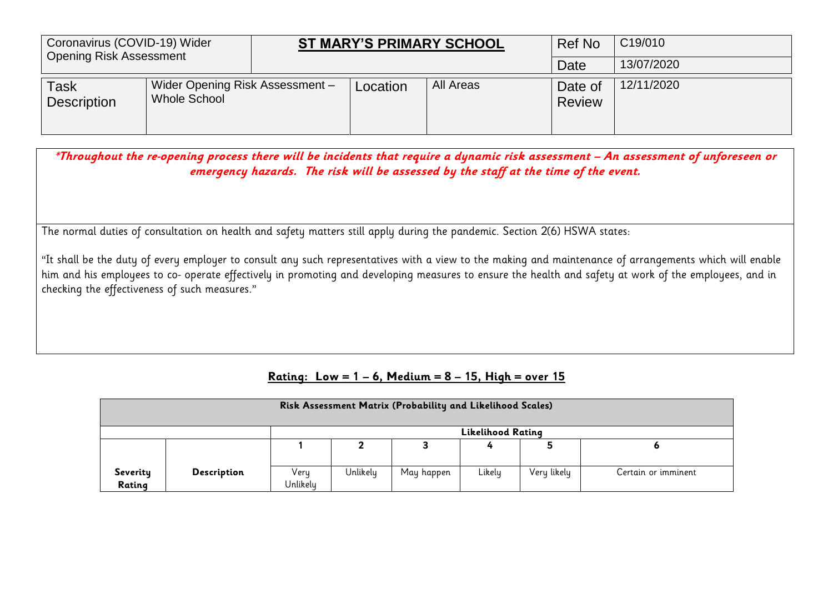| Coronavirus (COVID-19) Wider<br><b>Opening Risk Assessment</b> |                                                 |          | <b>ST MARY'S PRIMARY SCHOOL</b> | <b>Ref No</b>            | C <sub>19</sub> /010 |
|----------------------------------------------------------------|-------------------------------------------------|----------|---------------------------------|--------------------------|----------------------|
|                                                                |                                                 |          |                                 | Date                     | 13/07/2020           |
| <b>Task</b><br><b>Description</b>                              | Wider Opening Risk Assessment -<br>Whole School | Location | All Areas                       | Date of<br><b>Review</b> | 12/11/2020           |

**\*Throughout the re-opening process there will be incidents that require a dynamic risk assessment – An assessment of unforeseen or emergency hazards. The risk will be assessed by the staff at the time of the event.**

The normal duties of consultation on health and safety matters still apply during the pandemic. Section 2(6) HSWA states:

"It shall be the duty of every employer to consult any such representatives with a view to the making and maintenance of arrangements which will enable him and his employees to co- operate effectively in promoting and developing measures to ensure the health and safety at work of the employees, and in checking the effectiveness of such measures."

### **Rating: Low = 1 – 6, Medium = 8 – 15, High = over 15**

|                    | Risk Assessment Matrix (Probability and Likelihood Scales) |                  |          |            |                          |             |                     |  |  |  |  |  |
|--------------------|------------------------------------------------------------|------------------|----------|------------|--------------------------|-------------|---------------------|--|--|--|--|--|
|                    |                                                            |                  |          |            | <b>Likelihood Rating</b> |             |                     |  |  |  |  |  |
|                    |                                                            |                  |          |            |                          |             |                     |  |  |  |  |  |
| Severity<br>Rating | <b>Description</b>                                         | Very<br>Unlikely | Unlikely | May happen | Likely                   | Very likely | Certain or imminent |  |  |  |  |  |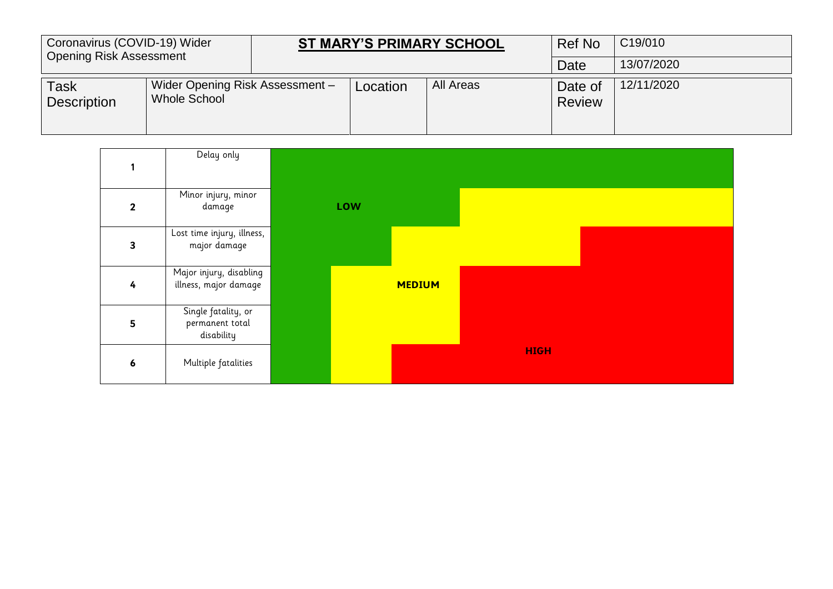| Coronavirus (COVID-19) Wider<br><b>Opening Risk Assessment</b> |                                                        |          | <b>ST MARY'S PRIMARY SCHOOL</b> | <b>Ref No</b>            | C <sub>19</sub> /010 |
|----------------------------------------------------------------|--------------------------------------------------------|----------|---------------------------------|--------------------------|----------------------|
|                                                                |                                                        |          |                                 | Date                     | 13/07/2020           |
| Task<br><b>Description</b>                                     | Wider Opening Risk Assessment -<br><b>Whole School</b> | Location | All Areas                       | Date of<br><b>Review</b> | 12/11/2020           |

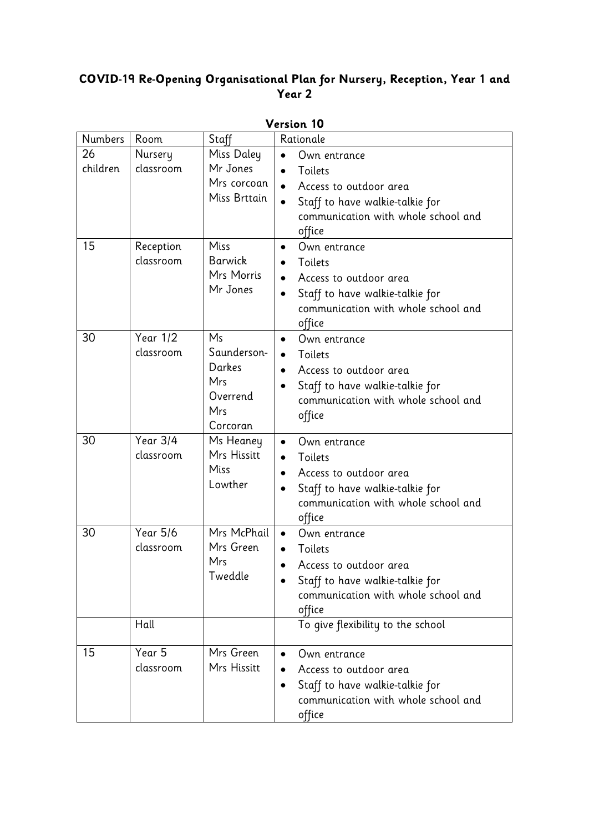# **COVID-19 Re-Opening Organisational Plan for Nursery, Reception, Year 1 and Year 2**

| Version 10     |                              |                                                                   |                                                                                                                                                                                           |  |
|----------------|------------------------------|-------------------------------------------------------------------|-------------------------------------------------------------------------------------------------------------------------------------------------------------------------------------------|--|
| <b>Numbers</b> | Room                         | Staff                                                             | Rationale                                                                                                                                                                                 |  |
| 26<br>children | Nursery<br>classroom         | Miss Daley<br>Mr Jones<br>Mrs corcoan<br>Miss Brttain             | Own entrance<br>$\bullet$<br>Toilets<br>$\bullet$<br>Access to outdoor area<br>$\bullet$<br>Staff to have walkie-talkie for<br>$\bullet$<br>communication with whole school and<br>office |  |
| 15             | Reception<br>classroom       | Miss<br>Barwick<br>Mrs Morris<br>Mr Jones                         | Own entrance<br>$\bullet$<br>Toilets<br>Access to outdoor area<br>$\bullet$<br>Staff to have walkie-talkie for<br>communication with whole school and<br>office                           |  |
| 30             | Year 1/2<br>classroom        | Ms<br>Saunderson-<br>Darkes<br>Mrs<br>Overrend<br>Mrs<br>Corcoran | Own entrance<br>$\bullet$<br>Toilets<br>$\bullet$<br>Access to outdoor area<br>$\bullet$<br>Staff to have walkie-talkie for<br>communication with whole school and<br>office              |  |
| 30             | <b>Year 3/4</b><br>classroom | Ms Heaney<br>Mrs Hissitt<br>Miss<br>Lowther                       | Own entrance<br>$\bullet$<br>Toilets<br>$\bullet$<br>Access to outdoor area<br>$\bullet$<br>Staff to have walkie-talkie for<br>communication with whole school and<br>office              |  |
| 30             | <b>Year 5/6</b><br>classroom | Mrs McPhail<br>Mrs Green<br>Mrs<br>Tweddle                        | Own entrance<br>$\bullet$<br>Toilets<br>Access to outdoor area<br>Staff to have walkie-talkie for<br>communication with whole school and<br>office                                        |  |
|                | Hall                         |                                                                   | To give flexibility to the school                                                                                                                                                         |  |
| 15             | Year 5<br>classroom          | Mrs Green<br>Mrs Hissitt                                          | Own entrance<br>$\bullet$<br>Access to outdoor area<br>Staff to have walkie-talkie for<br>$\bullet$<br>communication with whole school and<br>office                                      |  |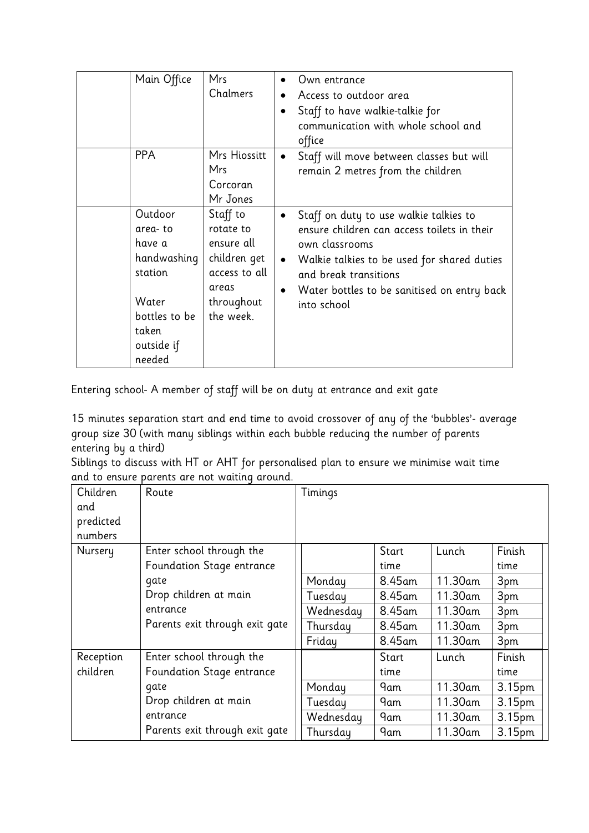| Main Office                                                                                                       | <b>Mrs</b><br>Chalmers                                                                                   | Own entrance<br>$\bullet$<br>Access to outdoor area<br>$\bullet$<br>Staff to have walkie-talkie for<br>$\bullet$<br>communication with whole school and<br>office                                                                                                                    |
|-------------------------------------------------------------------------------------------------------------------|----------------------------------------------------------------------------------------------------------|--------------------------------------------------------------------------------------------------------------------------------------------------------------------------------------------------------------------------------------------------------------------------------------|
| <b>PPA</b>                                                                                                        | Mrs Hiossitt<br><b>Mrs</b><br>Corcoran<br>Mr Jones                                                       | Staff will move between classes but will<br>$\bullet$<br>remain 2 metres from the children                                                                                                                                                                                           |
| Outdoor<br>area-to<br>have a<br>handwashing<br>station<br>Water<br>bottles to be<br>taken<br>outside if<br>needed | Staff to<br>rotate to<br>ensure all<br>children get<br>access to all<br>areas<br>throughout<br>the week. | Staff on duty to use walkie talkies to<br>$\bullet$<br>ensure children can access toilets in their<br>own classrooms<br>Walkie talkies to be used for shared duties<br>$\bullet$<br>and break transitions<br>Water bottles to be sanitised on entry back<br>$\bullet$<br>into school |

Entering school- A member of staff will be on duty at entrance and exit gate

15 minutes separation start and end time to avoid crossover of any of the 'bubbles'- average group size 30 (with many siblings within each bubble reducing the number of parents entering by a third)

Siblings to discuss with HT or AHT for personalised plan to ensure we minimise wait time and to ensure parents are not waiting around.

| Children  | $\alpha$ , $\alpha$ , $\alpha$ , $\alpha$ , $\alpha$ , $\alpha$ , $\alpha$<br>Route | Timings   |        |         |                    |
|-----------|-------------------------------------------------------------------------------------|-----------|--------|---------|--------------------|
| and       |                                                                                     |           |        |         |                    |
| predicted |                                                                                     |           |        |         |                    |
| numbers   |                                                                                     |           |        |         |                    |
| Nursery   | Enter school through the                                                            |           | Start  | Lunch   | Finish             |
|           |                                                                                     |           |        |         |                    |
|           | Foundation Stage entrance                                                           |           | time   |         | time               |
|           | qate                                                                                | Monday    | 8.45am | 11.30am | 3pm                |
|           | Drop children at main                                                               | Tuesday   | 8.45am | 11.30am | 3pm                |
|           | entrance                                                                            | Wednesday | 8.45am | 11.30am | 3pm                |
|           | Parents exit through exit gate                                                      | Thursday  | 8.45am | 11.30am | 3pm                |
|           |                                                                                     | Friday    | 8.45am | 11.30am | 3pm                |
| Reception | Enter school through the                                                            |           | Start  | Lunch   | Finish             |
| children  | Foundation Stage entrance                                                           |           | time   |         | time               |
|           | gate                                                                                | Monday    | 9am    | 11.30am | 3.15pm             |
|           | Drop children at main                                                               | Tuesday   | 9am    | 11.30am | 3.15pm             |
|           | entrance                                                                            | Wednesday | 9am    | 11.30am | 3.15 <sub>pm</sub> |
|           | Parents exit through exit gate                                                      | Thursday  | 9am    | 11.30am | 3.15pm             |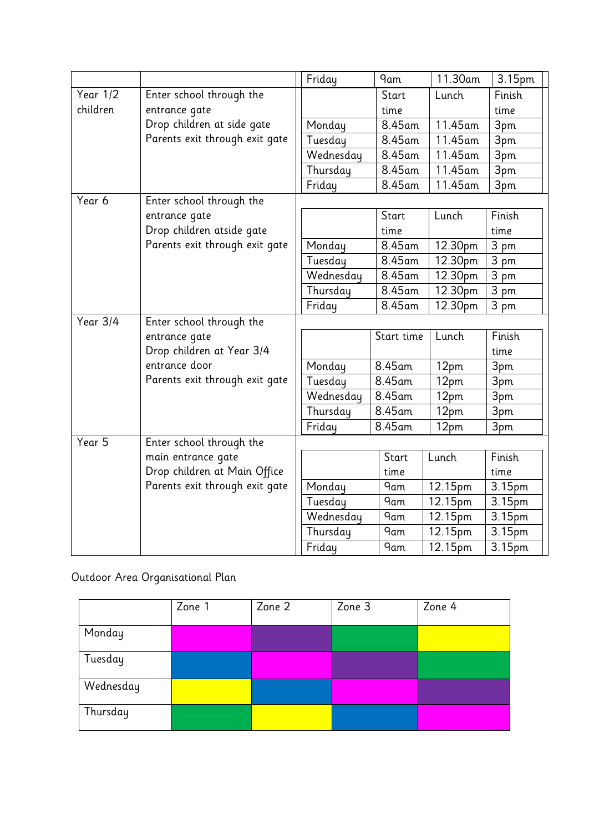|            |                                | Friday    | <b>9am</b> | 11.30am               | 3.15pm         |
|------------|--------------------------------|-----------|------------|-----------------------|----------------|
| Year 1/2   | Enter school through the       |           | Start      | Lunch                 | Finish         |
| children   | entrance gate                  |           | time       |                       | time           |
|            | Drop children at side gate     | Monday    | 8.45am     | 11.45am               | 3pm            |
|            | Parents exit through exit gate | Tuesday   | 8.45am     | $11.45$ am            | 3pm            |
|            |                                | Wednesday | 8.45am     | 11.45am               | 3pm            |
|            |                                | Thursday  | 8.45am     | 11.45am               | 3pm            |
|            |                                | Friday    | 8.45am     | 11.45am               | 3pm            |
| Year 6     | Enter school through the       |           |            |                       |                |
|            | entrance gate                  |           | Start      | Lunch                 | Finish         |
|            | Drop children atside gate      |           | time       |                       | time           |
|            | Parents exit through exit gate | Monday    | 8.45am     | 12.30pm               | 3 pm           |
|            |                                | Tuesday   | 8.45am     | 12.30pm               | $3 \text{ pm}$ |
|            |                                | Wednesday | 8.45am     | 12.30pm               | 3 pm           |
|            |                                | Thursday  | 8.45am     | 12.30pm               | 3 pm           |
|            |                                | Friday    | 8.45am     | 12.30pm               | 3 pm           |
| Year $3/4$ | Enter school through the       |           |            |                       |                |
|            | entrance gate                  |           | Start time | Lunch                 | Finish         |
|            | Drop children at Year 3/4      |           |            |                       | time           |
|            | entrance door                  | Monday    | 8.45am     | 12pm                  | 3pm            |
|            | Parents exit through exit gate | Tuesday   | 8.45am     | 12pm                  | 3pm            |
|            |                                | Wednesday | 8.45am     | 12pm                  | 3pm            |
|            |                                | Thursday  | 8.45am     | 12pm                  | 3pm            |
|            |                                | Friday    | 8.45am     | 12pm                  | 3pm            |
| Year 5     | Enter school through the       |           |            |                       |                |
|            | main entrance gate             |           | Start      | Lunch                 | Finish         |
|            | Drop children at Main Office   |           | time       |                       | time           |
|            | Parents exit through exit gate | Monday    | <b>9am</b> | 12.15pm               | 3.15pm         |
|            |                                | Tuesday   | 9am        | 12.15pm               | 3.15pm         |
|            |                                | Wednesday | 9am        | 12.15pm               | 3.15pm         |
|            |                                | Thursday  | <b>9am</b> | $\overline{12}$ .15pm | 3.15pm         |
|            |                                | Friday    | <b>9am</b> | 12.15pm               | 3.15pm         |

Outdoor Area Organisational Plan

|           | Zone 1 | Zone 2 | Zone 3 | Zone 4 |
|-----------|--------|--------|--------|--------|
| Monday    |        |        |        |        |
| Tuesday   |        |        |        |        |
| Wednesday |        |        |        |        |
| Thursday  |        |        |        |        |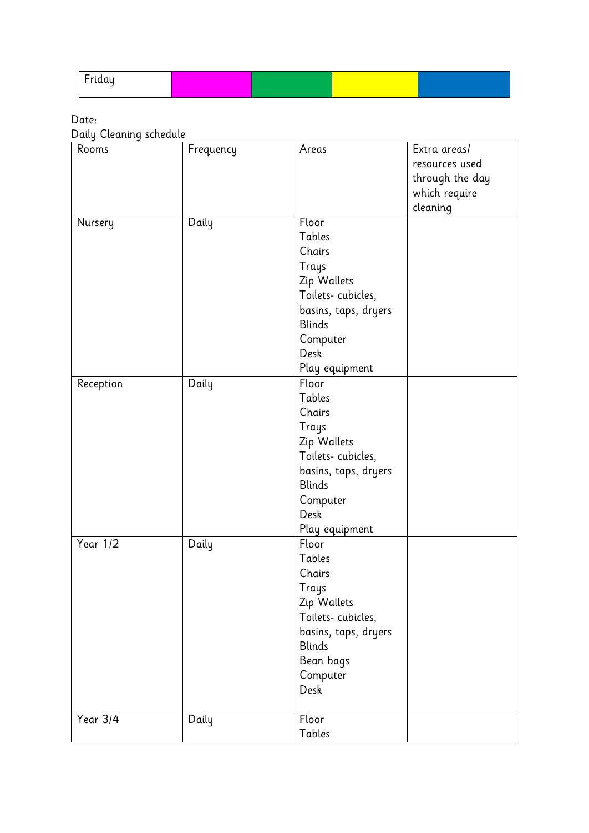| ιααu<br>. . |  |  |
|-------------|--|--|
|             |  |  |

Date:

Daily Cleaning schedule

| Rooms     | Frequency | Areas                | Extra areas/    |
|-----------|-----------|----------------------|-----------------|
|           |           |                      | resources used  |
|           |           |                      | through the day |
|           |           |                      | which require   |
|           |           |                      | cleaning        |
| Nursery   | Daily     | Floor                |                 |
|           |           | Tables               |                 |
|           |           | Chairs               |                 |
|           |           | Trays                |                 |
|           |           | Zip Wallets          |                 |
|           |           | Toilets-cubicles,    |                 |
|           |           | basins, taps, dryers |                 |
|           |           | <b>Blinds</b>        |                 |
|           |           | Computer             |                 |
|           |           | Desk                 |                 |
|           |           | Play equipment       |                 |
| Reception | Daily     | Floor                |                 |
|           |           | Tables               |                 |
|           |           | Chairs               |                 |
|           |           | <b>Trays</b>         |                 |
|           |           | Zip Wallets          |                 |
|           |           | Toilets-cubicles,    |                 |
|           |           | basins, taps, dryers |                 |
|           |           | <b>Blinds</b>        |                 |
|           |           | Computer             |                 |
|           |           | Desk                 |                 |
|           |           | Play equipment       |                 |
| Year 1/2  | Daily     | Floor                |                 |
|           |           | Tables               |                 |
|           |           | Chairs               |                 |
|           |           | Trays                |                 |
|           |           | Zip Wallets          |                 |
|           |           | Toilets-cubicles,    |                 |
|           |           | basins, taps, dryers |                 |
|           |           | <b>Blinds</b>        |                 |
|           |           | Bean bags            |                 |
|           |           | Computer             |                 |
|           |           | Desk                 |                 |
|           |           |                      |                 |
| Year 3/4  | Daily     | Floor                |                 |
|           |           | Tables               |                 |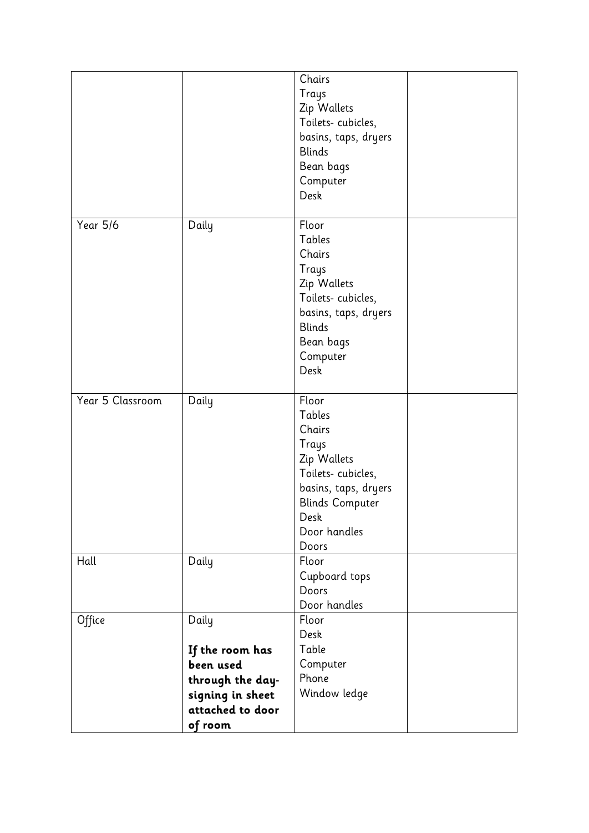|                  |                                                                                                              | Chairs<br>Trays<br>Zip Wallets<br>Toilets-cubicles,<br>basins, taps, dryers<br><b>Blinds</b><br>Bean bags<br>Computer<br>Desk                             |  |
|------------------|--------------------------------------------------------------------------------------------------------------|-----------------------------------------------------------------------------------------------------------------------------------------------------------|--|
| Year 5/6         | Daily                                                                                                        | Floor<br>Tables<br>Chairs<br>Trays<br>Zip Wallets<br>Toilets-cubicles,<br>basins, taps, dryers<br><b>Blinds</b><br>Bean bags<br>Computer<br>Desk          |  |
| Year 5 Classroom | Daily                                                                                                        | Floor<br>Tables<br>Chairs<br>Trays<br>Zip Wallets<br>Toilets-cubicles,<br>basins, taps, dryers<br><b>Blinds Computer</b><br>Desk<br>Door handles<br>Doors |  |
| Hall             | Daily                                                                                                        | Floor<br>Cupboard tops<br>Doors<br>Door handles                                                                                                           |  |
| Office           | Daily<br>If the room has<br>been used<br>through the day-<br>signing in sheet<br>attached to door<br>of room | Floor<br>Desk<br>Table<br>Computer<br>Phone<br>Window ledge                                                                                               |  |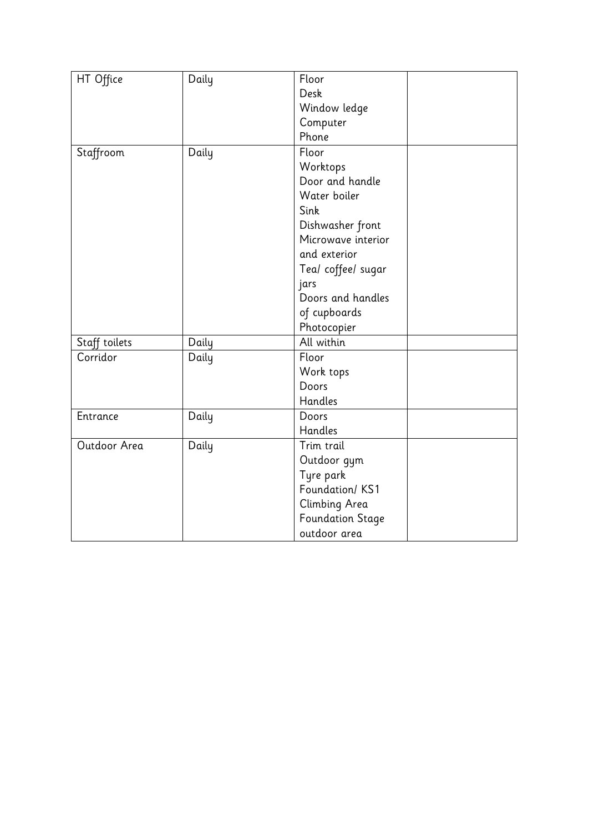| HT Office     | Daily | Floor                   |  |
|---------------|-------|-------------------------|--|
|               |       | Desk                    |  |
|               |       | Window ledge            |  |
|               |       | Computer                |  |
|               |       | Phone                   |  |
| Staffroom     | Daily | Floor                   |  |
|               |       | Worktops                |  |
|               |       | Door and handle         |  |
|               |       | Water boiler            |  |
|               |       | Sink                    |  |
|               |       | Dishwasher front        |  |
|               |       | Microwave interior      |  |
|               |       | and exterior            |  |
|               |       | Tea/ coffee/ sugar      |  |
|               |       | jars                    |  |
|               |       | Doors and handles       |  |
|               |       | of cupboards            |  |
|               |       | Photocopier             |  |
| Staff toilets | Daily | All within              |  |
| Corridor      | Daily | Floor                   |  |
|               |       | Work tops               |  |
|               |       | Doors                   |  |
|               |       | Handles                 |  |
| Entrance      | Daily | Doors                   |  |
|               |       | Handles                 |  |
| Outdoor Area  | Daily | Trim trail              |  |
|               |       | Outdoor gym             |  |
|               |       | Tyre park               |  |
|               |       | Foundation/KS1          |  |
|               |       | Climbing Area           |  |
|               |       | <b>Foundation Stage</b> |  |
|               |       | outdoor area            |  |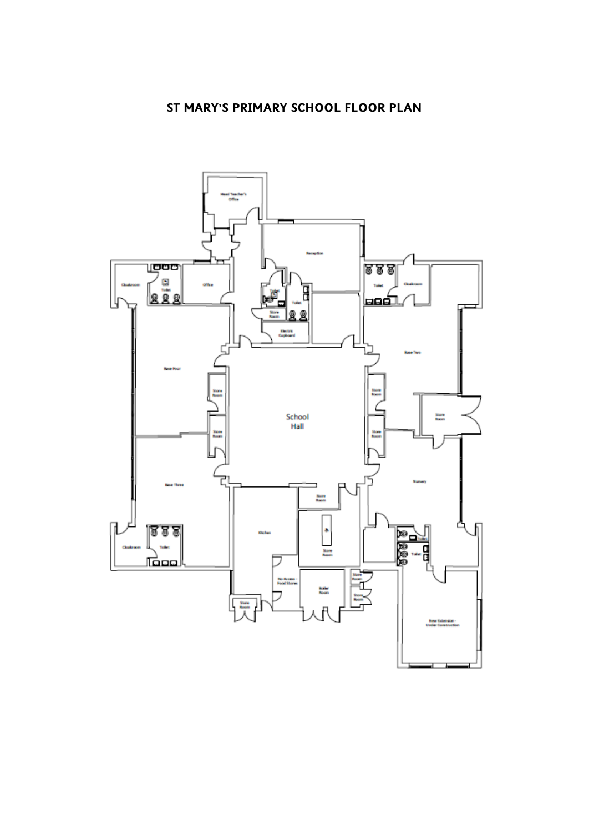# **ST MARY'S PRIMARY SCHOOL FLOOR PLAN**

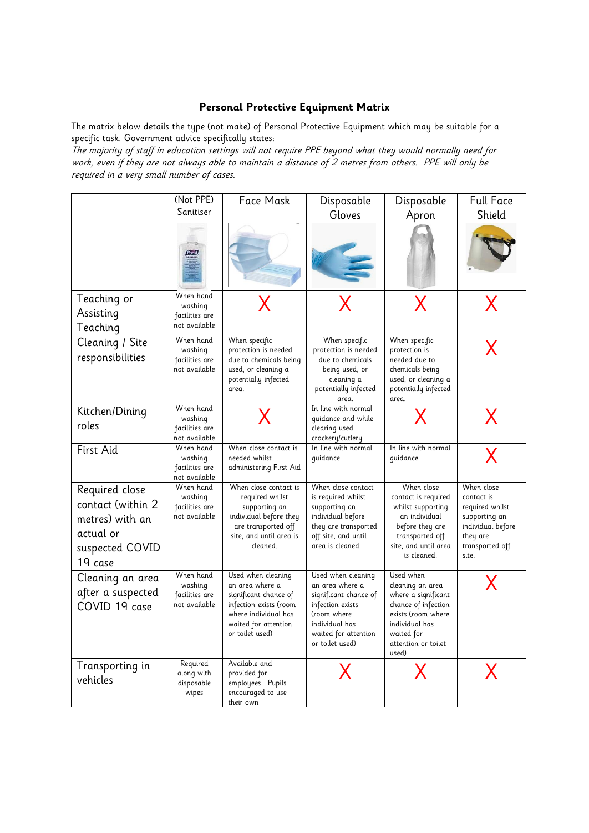#### **Personal Protective Equipment Matrix**

The matrix below details the type (not make) of Personal Protective Equipment which may be suitable for a specific task. Government advice specifically states:

The majority of staff in education settings will not require PPE beyond what they would normally need for work, even if they are not always able to maintain a distance of 2 metres from others. PPE will only be required in a very small number of cases.

|                                                                                                   | (Not PPE)                                               | Face Mask                                                                                                                                                   | Disposable                                                                                                                                                     | Disposable                                                                                                                                                        | <b>Full Face</b>                                                                                                          |
|---------------------------------------------------------------------------------------------------|---------------------------------------------------------|-------------------------------------------------------------------------------------------------------------------------------------------------------------|----------------------------------------------------------------------------------------------------------------------------------------------------------------|-------------------------------------------------------------------------------------------------------------------------------------------------------------------|---------------------------------------------------------------------------------------------------------------------------|
|                                                                                                   | Sanitiser                                               |                                                                                                                                                             | Gloves                                                                                                                                                         | Apron                                                                                                                                                             | Shield                                                                                                                    |
|                                                                                                   | <b>Purch</b>                                            |                                                                                                                                                             |                                                                                                                                                                |                                                                                                                                                                   |                                                                                                                           |
| Teaching or<br>Assisting<br>Teaching                                                              | When hand<br>washing<br>facilities are<br>not available | X                                                                                                                                                           |                                                                                                                                                                | X                                                                                                                                                                 | X                                                                                                                         |
| Cleaning / Site<br>responsibilities                                                               | When hand<br>washing<br>facilities are<br>not available | When specific<br>protection is needed<br>due to chemicals being<br>used, or cleaning a<br>potentially infected<br>area.                                     | When specific<br>protection is needed<br>due to chemicals<br>being used, or<br>cleaning a<br>potentially infected<br>area.                                     | When specific<br>protection is<br>needed due to<br>chemicals being<br>used, or cleaning a<br>potentially infected<br>area.                                        | Χ                                                                                                                         |
| Kitchen/Dining<br>roles                                                                           | When hand<br>washing<br>facilities are<br>not available | X                                                                                                                                                           | In line with normal<br>quidance and while<br>clearing used<br>crockery/cutlery                                                                                 |                                                                                                                                                                   | X                                                                                                                         |
| First Aid                                                                                         | When hand<br>washing<br>facilities are<br>not available | When close contact is<br>needed whilst<br>administering First Aid                                                                                           | In line with normal<br>quidance                                                                                                                                | In line with normal<br>guidance                                                                                                                                   | $\overline{\mathsf{X}}$                                                                                                   |
| Required close<br>contact (within 2<br>metres) with an<br>actual or<br>suspected COVID<br>19 case | When hand<br>washing<br>facilities are<br>not available | When close contact is<br>required whilst<br>supporting an<br>individual before they<br>are transported off<br>site, and until area is<br>cleaned.           | When close contact<br>is required whilst<br>supporting an<br>individual before<br>they are transported<br>off site, and until<br>area is cleaned.              | When close<br>contact is required<br>whilst supporting<br>an individual<br>before they are<br>transported off<br>site, and until area<br>is cleaned.              | When close<br>contact is<br>required whilst<br>supporting an<br>individual before<br>they are<br>transported off<br>site. |
| Cleaning an area<br>after a suspected<br>COVID 19 case                                            | When hand<br>washing<br>facilities are<br>not available | Used when cleaning<br>an area where a<br>significant chance of<br>infection exists (room<br>where individual has<br>waited for attention<br>or toilet used) | Used when cleaning<br>an area where a<br>significant chance of<br>infection exists<br>(room where<br>individual has<br>waited for attention<br>or toilet used) | Used when<br>cleaning an area<br>where a significant<br>chance of infection<br>exists (room where<br>individual has<br>waited for<br>attention or toilet<br>used) |                                                                                                                           |
| Transporting in<br>vehicles                                                                       | Required<br>along with<br>disposable<br>wipes           | Available and<br>provided for<br>employees. Pupils<br>encouraged to use<br>their own                                                                        | X                                                                                                                                                              | X                                                                                                                                                                 | X                                                                                                                         |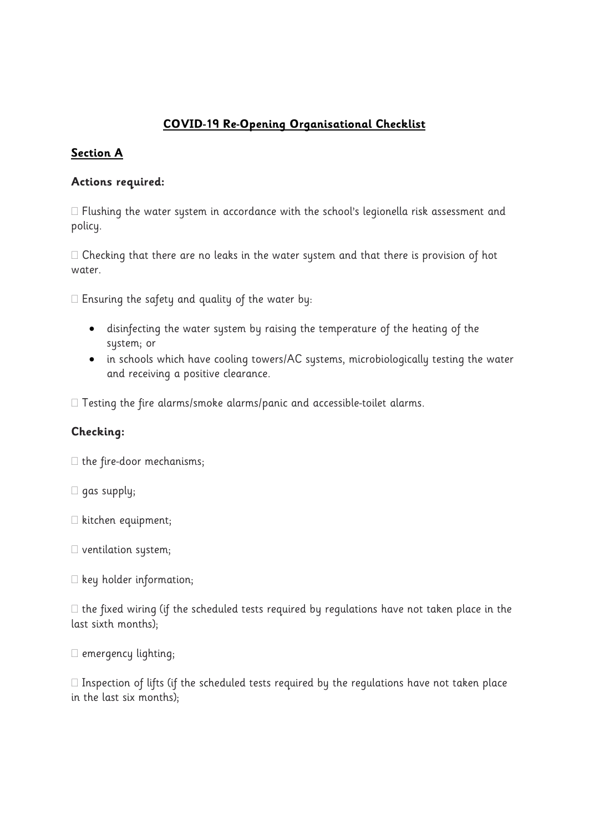# **COVID-19 Re-Opening Organisational Checklist**

# **Section A**

### **Actions required:**

 $\Box$  Flushing the water system in accordance with the school's legionella risk assessment and policy.

 $\Box$  Checking that there are no leaks in the water system and that there is provision of hot water.

 $\square$  Ensuring the safety and quality of the water by:

- disinfecting the water system by raising the temperature of the heating of the system; or
- in schools which have cooling towers/AC systems, microbiologically testing the water and receiving a positive clearance.

 $\Box$  Testing the fire alarms/smoke alarms/panic and accessible-toilet alarms.

## **Checking:**

 $\Box$  the fire-door mechanisms;

- $\square$  gas supply;
- $\square$  kitchen equipment;
- $\square$  ventilation system;
- $\Box$  key holder information;

 $\Box$  the fixed wiring (if the scheduled tests required by regulations have not taken place in the last sixth months);

 $\square$  emergency lighting;

 $\Box$  Inspection of lifts (if the scheduled tests required by the regulations have not taken place in the last six months);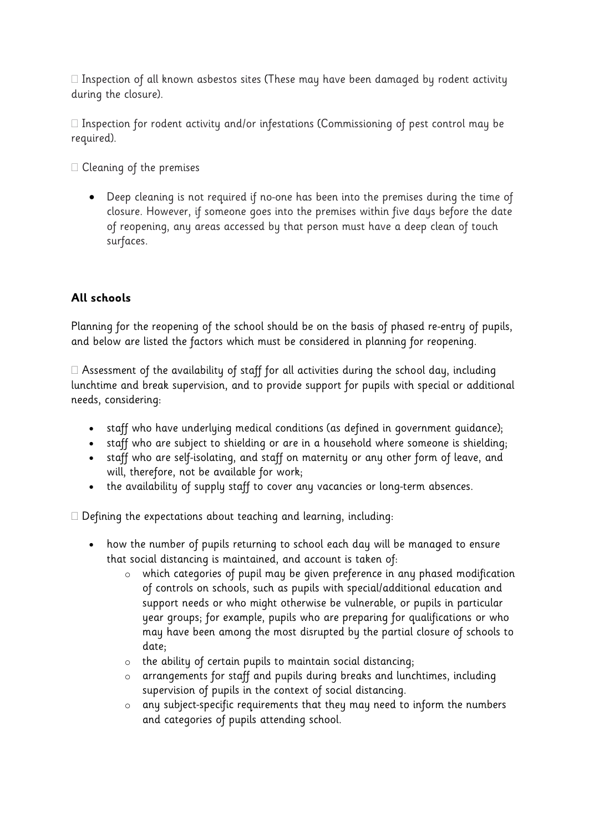$\Box$  Inspection of all known asbestos sites (These may have been damaged by rodent activity during the closure).

 $\Box$  Inspection for rodent activity and/or infestations (Commissioning of pest control may be required).

 $\Box$  Cleaning of the premises

• Deep cleaning is not required if no-one has been into the premises during the time of closure. However, if someone goes into the premises within five days before the date of reopening, any areas accessed by that person must have a deep clean of touch surfaces.

## **All schools**

Planning for the reopening of the school should be on the basis of phased re-entry of pupils, and below are listed the factors which must be considered in planning for reopening.

 $\Box$  Assessment of the availability of staff for all activities during the school day, including lunchtime and break supervision, and to provide support for pupils with special or additional needs, considering:

- staff who have underlying medical conditions (as defined in government guidance);
- staff who are subject to shielding or are in a household where someone is shielding;
- staff who are self-isolating, and staff on maternity or any other form of leave, and will, therefore, not be available for work;
- the availability of supply staff to cover any vacancies or long-term absences.

 $\Box$  Defining the expectations about teaching and learning, including:

- how the number of pupils returning to school each day will be managed to ensure that social distancing is maintained, and account is taken of:
	- o which categories of pupil may be given preference in any phased modification of controls on schools, such as pupils with special/additional education and support needs or who might otherwise be vulnerable, or pupils in particular year groups; for example, pupils who are preparing for qualifications or who may have been among the most disrupted by the partial closure of schools to date;
	- o the ability of certain pupils to maintain social distancing;
	- o arrangements for staff and pupils during breaks and lunchtimes, including supervision of pupils in the context of social distancing.
	- o any subject-specific requirements that they may need to inform the numbers and categories of pupils attending school.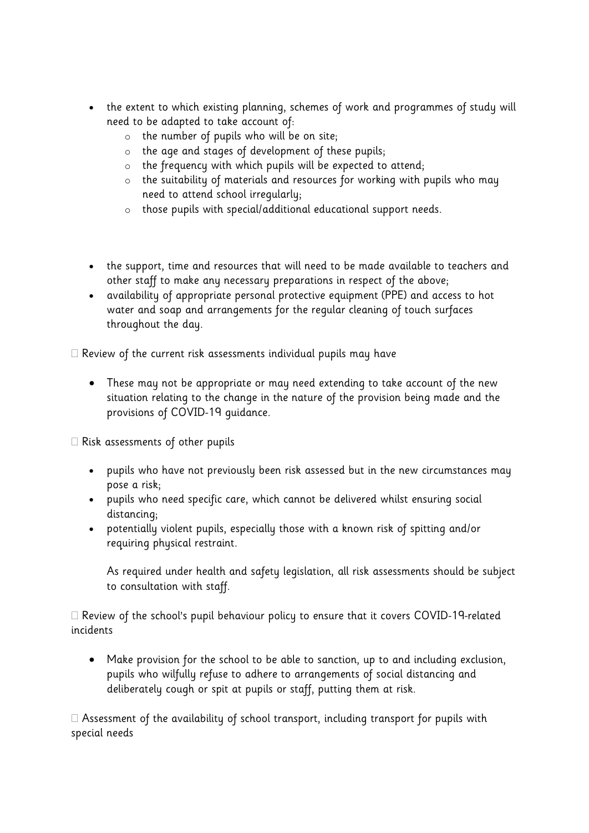- the extent to which existing planning, schemes of work and programmes of study will need to be adapted to take account of:
	- $\circ$  the number of pupils who will be on site;
	- o the age and stages of development of these pupils;
	- o the frequency with which pupils will be expected to attend;
	- o the suitability of materials and resources for working with pupils who may need to attend school irregularly;
	- o those pupils with special/additional educational support needs.
- the support, time and resources that will need to be made available to teachers and other staff to make any necessary preparations in respect of the above;
- availability of appropriate personal protective equipment (PPE) and access to hot water and soap and arrangements for the regular cleaning of touch surfaces throughout the day.

 $\Box$  Review of the current risk assessments individual pupils may have

• These may not be appropriate or may need extending to take account of the new situation relating to the change in the nature of the provision being made and the provisions of COVID-19 guidance.

 $\Box$  Risk assessments of other pupils

- pupils who have not previously been risk assessed but in the new circumstances may pose a risk;
- pupils who need specific care, which cannot be delivered whilst ensuring social distancing;
- potentially violent pupils, especially those with a known risk of spitting and/or requiring physical restraint.

As required under health and safety legislation, all risk assessments should be subject to consultation with staff.

 $\Box$  Review of the school's pupil behaviour policy to ensure that it covers COVID-19-related incidents

• Make provision for the school to be able to sanction, up to and including exclusion, pupils who wilfully refuse to adhere to arrangements of social distancing and deliberately cough or spit at pupils or staff, putting them at risk.

 $\Box$  Assessment of the availability of school transport, including transport for pupils with special needs